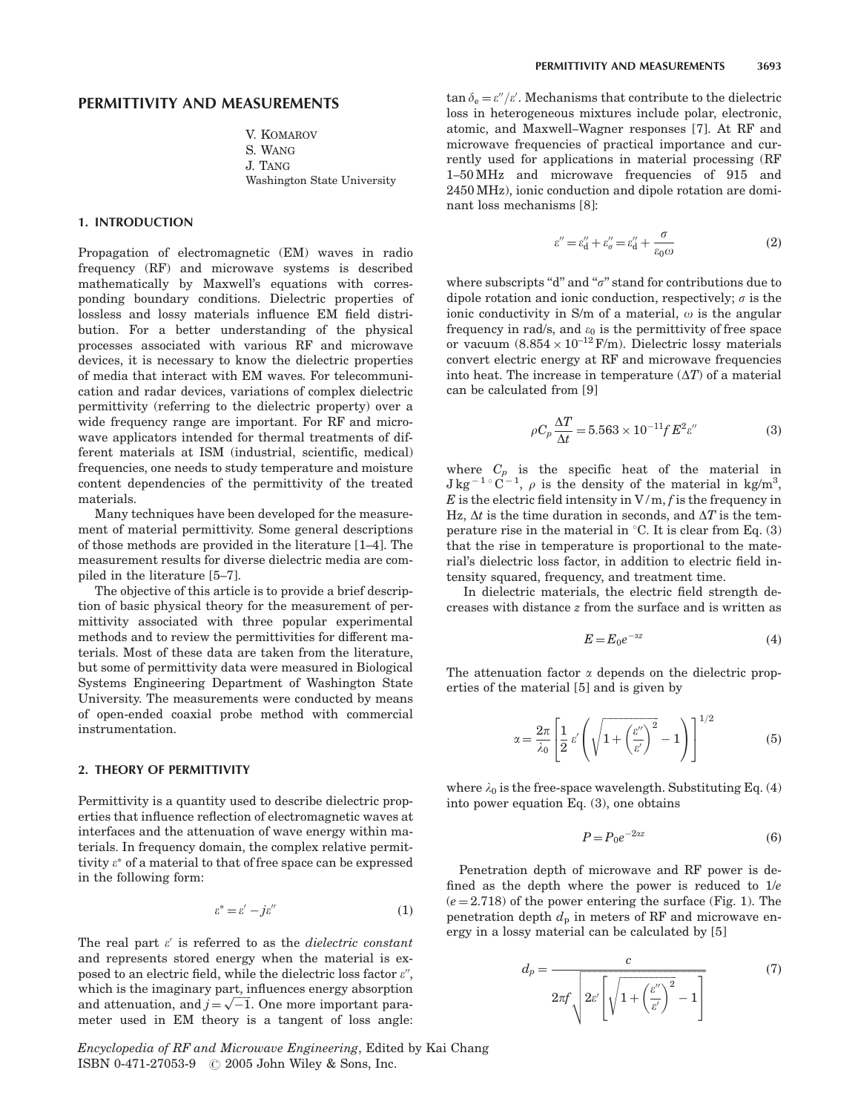# PERMITTIVITY AND MEASUREMENTS

V. KOMAROV S. WANG J. TANG Washington State University

# 1. INTRODUCTION

Propagation of electromagnetic (EM) waves in radio frequency (RF) and microwave systems is described mathematically by Maxwell's equations with corresponding boundary conditions. Dielectric properties of lossless and lossy materials influence EM field distribution. For a better understanding of the physical processes associated with various RF and microwave devices, it is necessary to know the dielectric properties of media that interact with EM waves. For telecommunication and radar devices, variations of complex dielectric permittivity (referring to the dielectric property) over a wide frequency range are important. For RF and microwave applicators intended for thermal treatments of different materials at ISM (industrial, scientific, medical) frequencies, one needs to study temperature and moisture content dependencies of the permittivity of the treated materials.

Many techniques have been developed for the measurement of material permittivity. Some general descriptions of those methods are provided in the literature [1–4]. The measurement results for diverse dielectric media are compiled in the literature [5–7].

The objective of this article is to provide a brief description of basic physical theory for the measurement of permittivity associated with three popular experimental methods and to review the permittivities for different materials. Most of these data are taken from the literature, but some of permittivity data were measured in Biological Systems Engineering Department of Washington State University. The measurements were conducted by means of open-ended coaxial probe method with commercial instrumentation.

## 2. THEORY OF PERMITTIVITY

Permittivity is a quantity used to describe dielectric properties that influence reflection of electromagnetic waves at interfaces and the attenuation of wave energy within materials. In frequency domain, the complex relative permittivity  $\varepsilon^*$  of a material to that of free space can be expressed in the following form:

$$
\varepsilon^* = \varepsilon' - j\varepsilon'' \tag{1}
$$

The real part  $\varepsilon'$  is referred to as the *dielectric constant* and represents stored energy when the material is exposed to an electric field, while the dielectric loss factor  $\varepsilon$ ", which is the imaginary part, influences energy absorption which is the imaginary part, influences energy absorption<br>and attenuation, and  $j = \sqrt{-1}$ . One more important parameter used in EM theory is a tangent of loss angle:

Encyclopedia of RF and Microwave Engineering, Edited by Kai Chang ISBN 0-471-27053-9 *C* 2005 John Wiley & Sons, Inc.

 $\tan \delta_e = \varepsilon''/ \varepsilon'.$  Mechanisms that contribute to the dielectric loss in heterogeneous mixtures include polar, electronic, atomic, and Maxwell–Wagner responses [7]. At RF and microwave frequencies of practical importance and currently used for applications in material processing (RF 1–50 MHz and microwave frequencies of 915 and 2450 MHz), ionic conduction and dipole rotation are dominant loss mechanisms [8]:

$$
\varepsilon'' = \varepsilon''_{\rm d} + \varepsilon''_{\sigma} = \varepsilon''_{\rm d} + \frac{\sigma}{\varepsilon_0 \omega} \tag{2}
$$

where subscripts "d" and " $\sigma$ " stand for contributions due to dipole rotation and ionic conduction, respectively;  $\sigma$  is the ionic conductivity in S/m of a material,  $\omega$  is the angular frequency in rad/s, and  $\varepsilon_0$  is the permittivity of free space or vacuum  $(8.854 \times 10^{-12} \text{F/m})$ . Dielectric lossy materials convert electric energy at RF and microwave frequencies into heat. The increase in temperature  $(\Delta T)$  of a material can be calculated from [9]

$$
\rho C_p \frac{\Delta T}{\Delta t} = 5.563 \times 10^{-11} f E^2 \varepsilon'' \tag{3}
$$

where  $C_p$  is the specific heat of the material in  $J \text{kg}^{-1} \circ \text{C}^{-1}$ ,  $\rho$  is the density of the material in kg/m<sup>3</sup>,  $E$  is the electric field intensity in  $V/m$ ,  $f$  is the frequency in Hz,  $\Delta t$  is the time duration in seconds, and  $\Delta T$  is the temperature rise in the material in  $°C$ . It is clear from Eq. (3) that the rise in temperature is proportional to the material's dielectric loss factor, in addition to electric field intensity squared, frequency, and treatment time.

In dielectric materials, the electric field strength decreases with distance z from the surface and is written as

$$
E = E_0 e^{-\alpha z} \tag{4}
$$

The attenuation factor  $\alpha$  depends on the dielectric properties of the material [5] and is given by

$$
\alpha = \frac{2\pi}{\lambda_0} \left[ \frac{1}{2} \varepsilon' \left( \sqrt{1 + \left( \frac{\varepsilon''}{\varepsilon'} \right)^2} - 1 \right) \right]^{1/2} \tag{5}
$$

where  $\lambda_0$  is the free-space wavelength. Substituting Eq. (4) into power equation Eq. (3), one obtains

$$
P = P_0 e^{-2\alpha z} \tag{6}
$$

Penetration depth of microwave and RF power is defined as the depth where the power is reduced to 1/e  $(e=2.718)$  of the power entering the surface (Fig. 1). The penetration depth  $d_p$  in meters of RF and microwave energy in a lossy material can be calculated by [5]

$$
d_p = \frac{c}{2\pi f \sqrt{2\varepsilon' \left[\sqrt{1 + \left(\frac{\varepsilon''}{\varepsilon'}\right)^2} - 1\right]}}
$$
(7)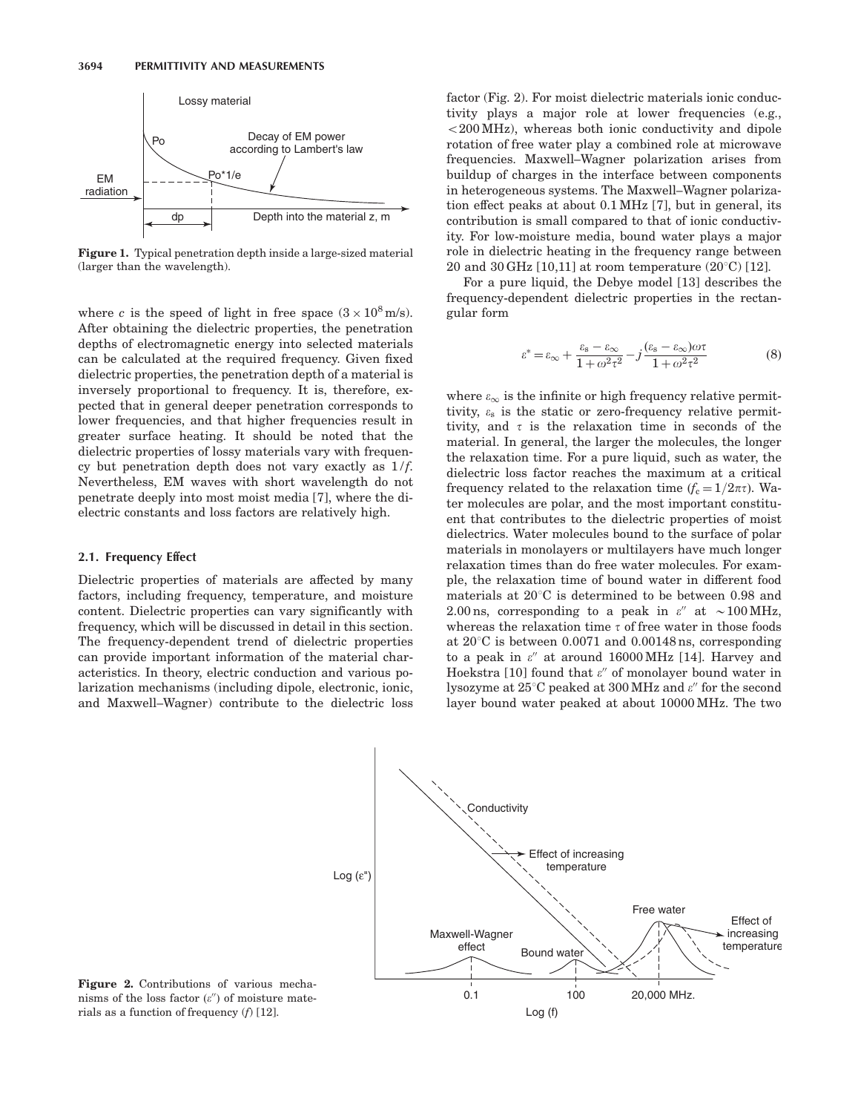

Figure 1. Typical penetration depth inside a large-sized material (larger than the wavelength).

where c is the speed of light in free space  $(3 \times 10^8 \text{ m/s})$ . After obtaining the dielectric properties, the penetration depths of electromagnetic energy into selected materials can be calculated at the required frequency. Given fixed dielectric properties, the penetration depth of a material is inversely proportional to frequency. It is, therefore, expected that in general deeper penetration corresponds to lower frequencies, and that higher frequencies result in greater surface heating. It should be noted that the dielectric properties of lossy materials vary with frequency but penetration depth does not vary exactly as  $1/f$ . Nevertheless, EM waves with short wavelength do not penetrate deeply into most moist media [7], where the dielectric constants and loss factors are relatively high.

#### 2.1. Frequency Effect

Dielectric properties of materials are affected by many factors, including frequency, temperature, and moisture content. Dielectric properties can vary significantly with frequency, which will be discussed in detail in this section. The frequency-dependent trend of dielectric properties can provide important information of the material characteristics. In theory, electric conduction and various polarization mechanisms (including dipole, electronic, ionic, and Maxwell–Wagner) contribute to the dielectric loss factor (Fig. 2). For moist dielectric materials ionic conductivity plays a major role at lower frequencies (e.g.,  $<$  200 MHz), whereas both ionic conductivity and dipole rotation of free water play a combined role at microwave frequencies. Maxwell–Wagner polarization arises from buildup of charges in the interface between components in heterogeneous systems. The Maxwell–Wagner polarization effect peaks at about 0.1 MHz [7], but in general, its contribution is small compared to that of ionic conductivity. For low-moisture media, bound water plays a major role in dielectric heating in the frequency range between 20 and 30 GHz  $[10,11]$  at room temperature  $(20^{\circ}C)$   $[12]$ .

For a pure liquid, the Debye model [13] describes the frequency-dependent dielectric properties in the rectangular form

$$
\varepsilon^* = \varepsilon_\infty + \frac{\varepsilon_\mathrm{s} - \varepsilon_\infty}{1 + \omega^2 \tau^2} - j \frac{(\varepsilon_\mathrm{s} - \varepsilon_\infty) \omega \tau}{1 + \omega^2 \tau^2} \tag{8}
$$

where  $\varepsilon_{\infty}$  is the infinite or high frequency relative permittivity,  $\varepsilon_{\rm s}$  is the static or zero-frequency relative permittivity, and  $\tau$  is the relaxation time in seconds of the material. In general, the larger the molecules, the longer the relaxation time. For a pure liquid, such as water, the dielectric loss factor reaches the maximum at a critical frequency related to the relaxation time  $(f_c = 1/2\pi\tau)$ . Water molecules are polar, and the most important constituent that contributes to the dielectric properties of moist dielectrics. Water molecules bound to the surface of polar materials in monolayers or multilayers have much longer relaxation times than do free water molecules. For example, the relaxation time of bound water in different food materials at  $20^{\circ}$ C is determined to be between 0.98 and 2.00 ns, corresponding to a peak in  $\varepsilon''$  at  $\sim$  100 MHz, whereas the relaxation time  $\tau$  of free water in those foods at  $20^{\circ}$ C is between 0.0071 and 0.00148 ns, corresponding to a peak in  $\varepsilon''$  at around 16000 MHz [14]. Harvey and Hoekstra [10] found that  $\varepsilon''$  of monolayer bound water in lysozyme at  $25^{\circ}$ C peaked at 300 MHz and  $\varepsilon$ <sup>*''*</sup> for the second layer bound water peaked at about 10000 MHz. The two



Figure 2. Contributions of various mechanisms of the loss factor  $(e'')$  of moisture materials as a function of frequency  $(f)$  [12].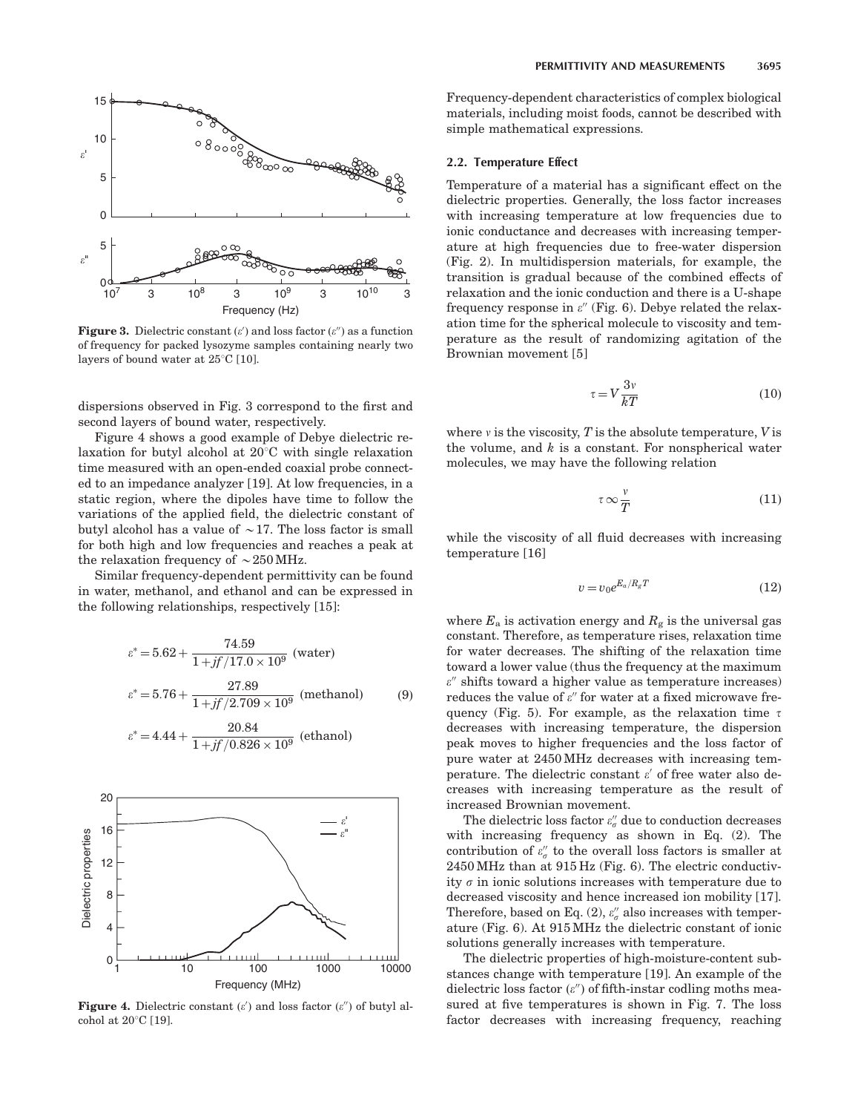

**Figure 3.** Dielectric constant  $(e')$  and loss factor  $(e'')$  as a function of frequency for packed lysozyme samples containing nearly two layers of bound water at  $25^{\circ}C$  [10].

dispersions observed in Fig. 3 correspond to the first and second layers of bound water, respectively.

Figure 4 shows a good example of Debye dielectric relaxation for butyl alcohol at  $20^{\circ}$ C with single relaxation time measured with an open-ended coaxial probe connected to an impedance analyzer [19]. At low frequencies, in a static region, where the dipoles have time to follow the variations of the applied field, the dielectric constant of butyl alcohol has a value of  $\sim$  17. The loss factor is small for both high and low frequencies and reaches a peak at the relaxation frequency of  $\sim$  250 MHz.

Similar frequency-dependent permittivity can be found in water, methanol, and ethanol and can be expressed in the following relationships, respectively [15]:

$$
\varepsilon^* = 5.62 + \frac{74.59}{1 + j f / 17.0 \times 10^9} \text{ (water)}
$$
  

$$
\varepsilon^* = 5.76 + \frac{27.89}{1 + j f / 2.709 \times 10^9} \text{ (methanol)}
$$
 (9)

$$
\varepsilon^* = 4.44 + \frac{20.84}{1 + \textit{jf} / 0.826 \times 10^9} \text{ (ethanol)}
$$



Figure 4. Dielectric constant  $(\varepsilon')$  and loss factor  $(\varepsilon'')$  of butyl alcohol at  $20^{\circ}$ C [19].

Frequency-dependent characteristics of complex biological materials, including moist foods, cannot be described with simple mathematical expressions.

#### 2.2. Temperature Effect

Temperature of a material has a significant effect on the dielectric properties. Generally, the loss factor increases with increasing temperature at low frequencies due to ionic conductance and decreases with increasing temperature at high frequencies due to free-water dispersion (Fig. 2). In multidispersion materials, for example, the transition is gradual because of the combined effects of relaxation and the ionic conduction and there is a U-shape frequency response in  $\varepsilon''$  (Fig. 6). Debye related the relaxation time for the spherical molecule to viscosity and temperature as the result of randomizing agitation of the Brownian movement [5]

$$
\tau = V \frac{3v}{kT} \tag{10}
$$

where  $v$  is the viscosity,  $T$  is the absolute temperature,  $V$  is the volume, and  $k$  is a constant. For nonspherical water molecules, we may have the following relation

$$
\tau \infty \frac{v}{T} \tag{11}
$$

while the viscosity of all fluid decreases with increasing temperature [16]

$$
v = v_0 e^{E_a/R_g T} \tag{12}
$$

where  $E_a$  is activation energy and  $R_g$  is the universal gas constant. Therefore, as temperature rises, relaxation time for water decreases. The shifting of the relaxation time toward a lower value (thus the frequency at the maximum  $\varepsilon$ " shifts toward a higher value as temperature increases) reduces the value of  $\varepsilon$ " for water at a fixed microwave frequency (Fig. 5). For example, as the relaxation time  $\tau$ decreases with increasing temperature, the dispersion peak moves to higher frequencies and the loss factor of pure water at 2450 MHz decreases with increasing temperature. The dielectric constant  $\varepsilon'$  of free water also decreases with increasing temperature as the result of increased Brownian movement.

The dielectric loss factor  $\varepsilon''_{\sigma}$  due to conduction decreases with increasing frequency as shown in Eq. (2). The contribution of  $\varepsilon_{\sigma}^{\prime\prime}$  to the overall loss factors is smaller at 2450 MHz than at 915 Hz (Fig. 6). The electric conductivity  $\sigma$  in ionic solutions increases with temperature due to decreased viscosity and hence increased ion mobility [17]. Therefore, based on Eq. (2),  $\varepsilon''_{\sigma}$  also increases with temperature (Fig. 6). At 915 MHz the dielectric constant of ionic solutions generally increases with temperature.

The dielectric properties of high-moisture-content substances change with temperature [19]. An example of the dielectric loss factor  $(\epsilon'')$  of fifth-instar codling moths measured at five temperatures is shown in Fig. 7. The loss factor decreases with increasing frequency, reaching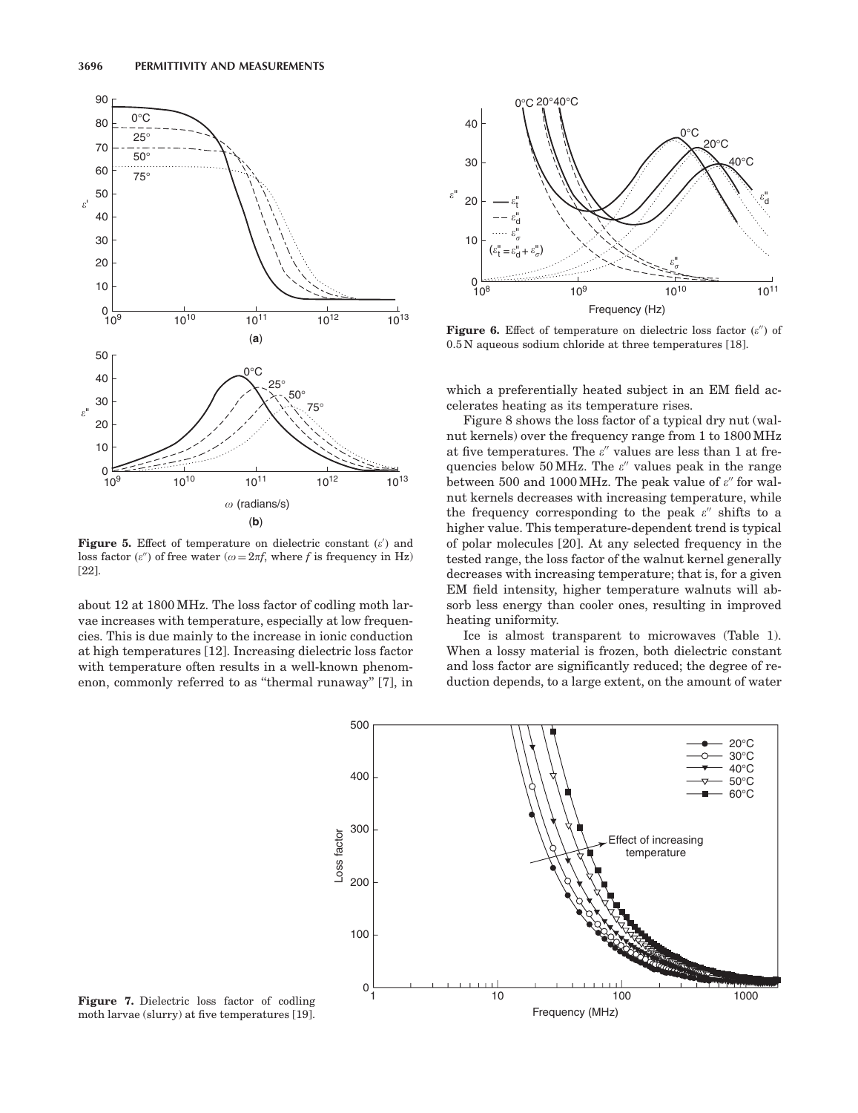

Figure 5. Effect of temperature on dielectric constant  $(e')$  and loss factor  $(\varepsilon'')$  of free water  $(\omega = 2\pi f$ , where f is frequency in Hz) [22].

about 12 at 1800 MHz. The loss factor of codling moth larvae increases with temperature, especially at low frequencies. This is due mainly to the increase in ionic conduction at high temperatures [12]. Increasing dielectric loss factor with temperature often results in a well-known phenomenon, commonly referred to as ''thermal runaway'' [7], in



**Figure 6.** Effect of temperature on dielectric loss factor  $(\varepsilon'')$  of 0.5 N aqueous sodium chloride at three temperatures [18].

which a preferentially heated subject in an EM field accelerates heating as its temperature rises.

Figure 8 shows the loss factor of a typical dry nut (walnut kernels) over the frequency range from 1 to 1800 MHz at five temperatures. The  $\varepsilon''$  values are less than 1 at frequencies below 50 MHz. The  $\varepsilon''$  values peak in the range between 500 and 1000 MHz. The peak value of  $\varepsilon''$  for walnut kernels decreases with increasing temperature, while the frequency corresponding to the peak  $\varepsilon''$  shifts to a higher value. This temperature-dependent trend is typical of polar molecules [20]. At any selected frequency in the tested range, the loss factor of the walnut kernel generally decreases with increasing temperature; that is, for a given EM field intensity, higher temperature walnuts will absorb less energy than cooler ones, resulting in improved heating uniformity.

Ice is almost transparent to microwaves (Table 1). When a lossy material is frozen, both dielectric constant and loss factor are significantly reduced; the degree of reduction depends, to a large extent, on the amount of water



moth larvae (slurry) at five temperatures [19].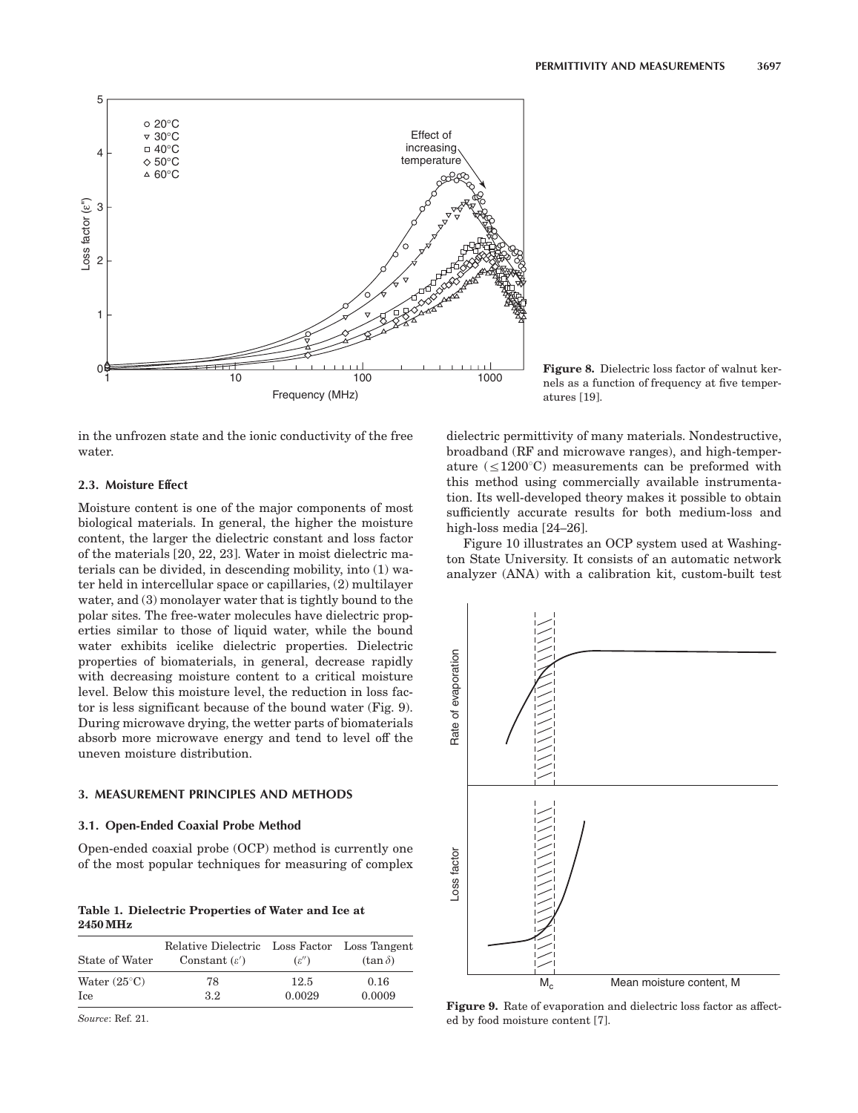

in the unfrozen state and the ionic conductivity of the free water.

# 2.3. Moisture Effect

Moisture content is one of the major components of most biological materials. In general, the higher the moisture content, the larger the dielectric constant and loss factor of the materials [20, 22, 23]. Water in moist dielectric materials can be divided, in descending mobility, into (1) water held in intercellular space or capillaries, (2) multilayer water, and (3) monolayer water that is tightly bound to the polar sites. The free-water molecules have dielectric properties similar to those of liquid water, while the bound water exhibits icelike dielectric properties. Dielectric properties of biomaterials, in general, decrease rapidly with decreasing moisture content to a critical moisture level. Below this moisture level, the reduction in loss factor is less significant because of the bound water (Fig. 9). During microwave drying, the wetter parts of biomaterials absorb more microwave energy and tend to level off the uneven moisture distribution.

## 3. MEASUREMENT PRINCIPLES AND METHODS

## 3.1. Open-Ended Coaxial Probe Method

Open-ended coaxial probe (OCP) method is currently one of the most popular techniques for measuring of complex

Table 1. Dielectric Properties of Water and Ice at 2450 MHz

| State of Water        | Relative Dielectric Loss Factor<br>Constant $(\varepsilon')$ | $(\varepsilon'')$ | Loss Tangent<br>$(\tan \delta)$ |
|-----------------------|--------------------------------------------------------------|-------------------|---------------------------------|
| Water $(25^{\circ}C)$ | 78                                                           | 12.5              | 0.16                            |
| Ice                   | 3.2.                                                         | 0.0029            | 0.0009                          |

Source: Ref. 21.

Figure 8. Dielectric loss factor of walnut kernels as a function of frequency at five temperatures [19].

dielectric permittivity of many materials. Nondestructive, broadband (RF and microwave ranges), and high-temperature  $(\leq1200^{\circ}C)$  measurements can be preformed with this method using commercially available instrumentation. Its well-developed theory makes it possible to obtain sufficiently accurate results for both medium-loss and high-loss media [24–26].

Figure 10 illustrates an OCP system used at Washington State University. It consists of an automatic network analyzer (ANA) with a calibration kit, custom-built test



Figure 9. Rate of evaporation and dielectric loss factor as affected by food moisture content [7].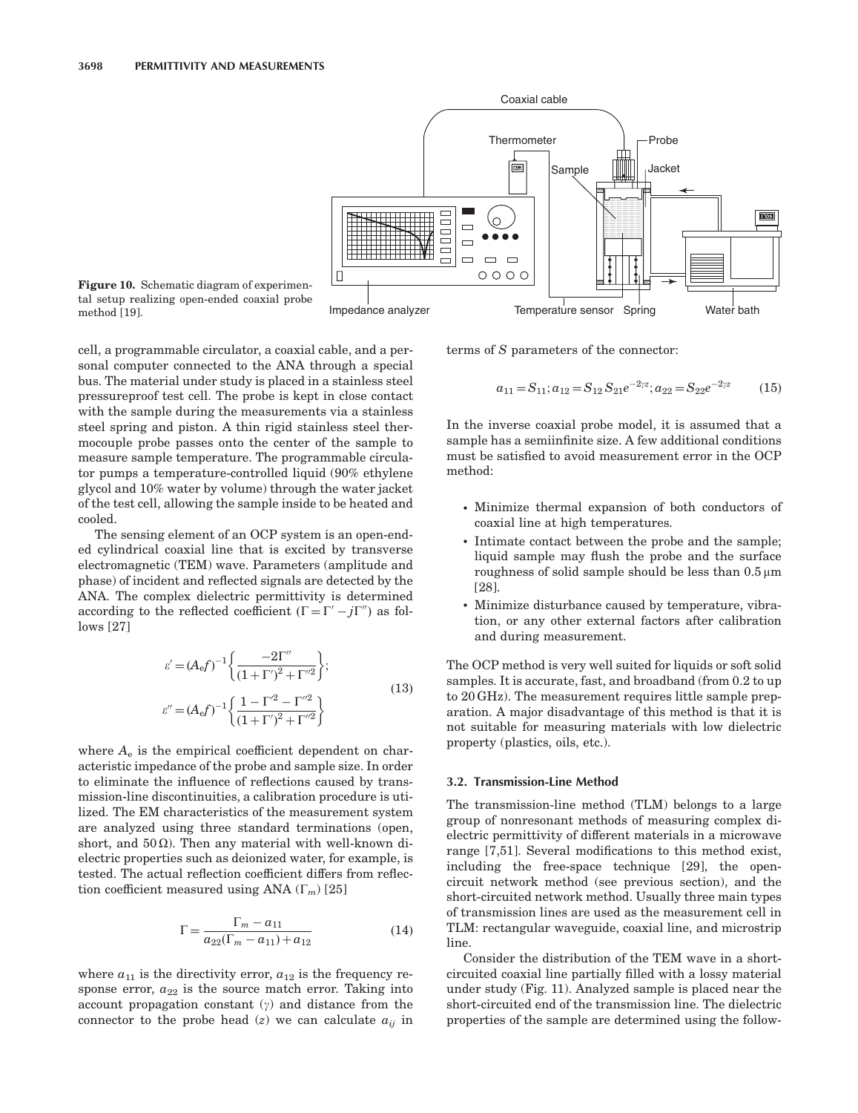

Figure 10. Schematic diagram of experimental setup realizing open-ended coaxial probe method [19].

cell, a programmable circulator, a coaxial cable, and a personal computer connected to the ANA through a special bus. The material under study is placed in a stainless steel pressureproof test cell. The probe is kept in close contact with the sample during the measurements via a stainless steel spring and piston. A thin rigid stainless steel thermocouple probe passes onto the center of the sample to measure sample temperature. The programmable circulator pumps a temperature-controlled liquid (90% ethylene glycol and 10% water by volume) through the water jacket of the test cell, allowing the sample inside to be heated and cooled.

The sensing element of an OCP system is an open-ended cylindrical coaxial line that is excited by transverse electromagnetic (TEM) wave. Parameters (amplitude and phase) of incident and reflected signals are detected by the ANA. The complex dielectric permittivity is determined according to the reflected coefficient  $(\Gamma = \Gamma' - j\Gamma'')$  as follows [27]

$$
\varepsilon' = (A_{\rm e}f)^{-1} \left\{ \frac{-2\Gamma''}{(1+\Gamma')^2 + \Gamma'^{2}} \right\};
$$
  
\n
$$
\varepsilon'' = (A_{\rm e}f)^{-1} \left\{ \frac{1-\Gamma'^2 - \Gamma'^{2}}{(1+\Gamma')^2 + \Gamma'^{2}} \right\}
$$
\n(13)

where  $A_e$  is the empirical coefficient dependent on characteristic impedance of the probe and sample size. In order to eliminate the influence of reflections caused by transmission-line discontinuities, a calibration procedure is utilized. The EM characteristics of the measurement system are analyzed using three standard terminations (open, short, and  $50 \Omega$ ). Then any material with well-known dielectric properties such as deionized water, for example, is tested. The actual reflection coefficient differs from reflection coefficient measured using ANA  $(\Gamma_m)$  [25]

$$
\Gamma = \frac{\Gamma_m - a_{11}}{a_{22}(\Gamma_m - a_{11}) + a_{12}}\tag{14}
$$

where  $a_{11}$  is the directivity error,  $a_{12}$  is the frequency response error,  $a_{22}$  is the source match error. Taking into account propagation constant  $(y)$  and distance from the connector to the probe head  $(z)$  we can calculate  $a_{ij}$  in

terms of S parameters of the connector:

$$
a_{11} = S_{11}; a_{12} = S_{12} S_{21} e^{-2\gamma z}; a_{22} = S_{22} e^{-2\gamma z} \tag{15}
$$

In the inverse coaxial probe model, it is assumed that a sample has a semiinfinite size. A few additional conditions must be satisfied to avoid measurement error in the OCP method:

- \* Minimize thermal expansion of both conductors of coaxial line at high temperatures.
- \* Intimate contact between the probe and the sample; liquid sample may flush the probe and the surface roughness of solid sample should be less than  $0.5 \mu m$ [28].
- \* Minimize disturbance caused by temperature, vibration, or any other external factors after calibration and during measurement.

The OCP method is very well suited for liquids or soft solid samples. It is accurate, fast, and broadband (from 0.2 to up to 20 GHz). The measurement requires little sample preparation. A major disadvantage of this method is that it is not suitable for measuring materials with low dielectric property (plastics, oils, etc.).

## 3.2. Transmission-Line Method

The transmission-line method (TLM) belongs to a large group of nonresonant methods of measuring complex dielectric permittivity of different materials in a microwave range [7,51]. Several modifications to this method exist, including the free-space technique [29], the opencircuit network method (see previous section), and the short-circuited network method. Usually three main types of transmission lines are used as the measurement cell in TLM: rectangular waveguide, coaxial line, and microstrip line.

Consider the distribution of the TEM wave in a shortcircuited coaxial line partially filled with a lossy material under study (Fig. 11). Analyzed sample is placed near the short-circuited end of the transmission line. The dielectric properties of the sample are determined using the follow-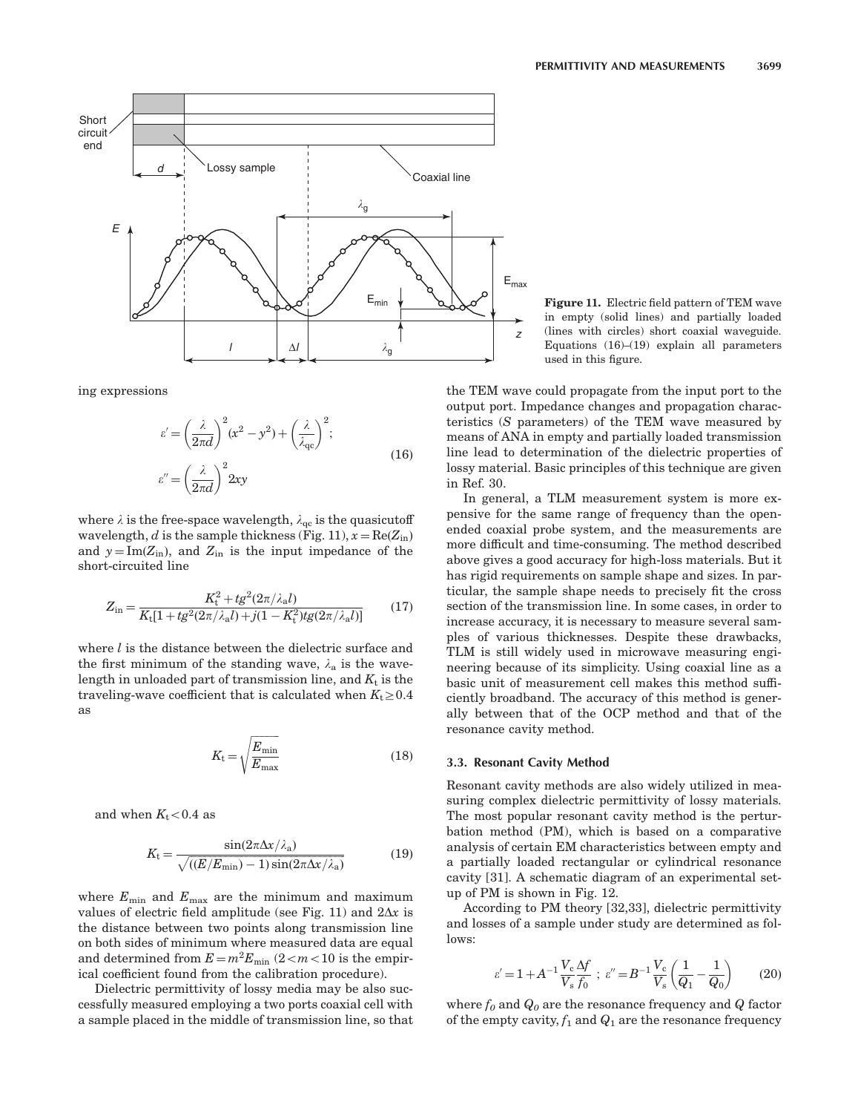

ing expressions

$$
\varepsilon' = \left(\frac{\lambda}{2\pi d}\right)^2 (x^2 - y^2) + \left(\frac{\lambda}{\lambda_{\text{qc}}}\right)^2;
$$
  
\n
$$
\varepsilon'' = \left(\frac{\lambda}{2\pi d}\right)^2 2xy
$$
\n(16)

where  $\lambda$  is the free-space wavelength,  $\lambda_{\text{qc}}$  is the quasicutoff wavelength, d is the sample thickness (Fig. 11),  $x = \text{Re}(Z_{\text{in}})$ and  $y = Im(Z_{in})$ , and  $Z_{in}$  is the input impedance of the short-circuited line

$$
Z_{\rm in} = \frac{K_{\rm t}^2 + t g^2 (2\pi/\lambda_{\rm a} l)}{K_{\rm t} [1 + t g^2 (2\pi/\lambda_{\rm a} l) + j (1 - K_{\rm t}^2) t g (2\pi/\lambda_{\rm a} l)]} \tag{17}
$$

where  $l$  is the distance between the dielectric surface and the first minimum of the standing wave,  $\lambda_a$  is the wavelength in unloaded part of transmission line, and  $K_t$  is the traveling-wave coefficient that is calculated when  $K_t \geq 0.4$ as

$$
K_{\rm t} = \sqrt{\frac{E_{\rm min}}{E_{\rm max}}} \tag{18}
$$

and when  $K_t < 0.4$  as

$$
K_{\rm t} = \frac{\sin(2\pi\Delta x/\lambda_{\rm a})}{\sqrt{\left((E/E_{\rm min}) - 1\right)\sin(2\pi\Delta x/\lambda_{\rm a})}}\tag{19}
$$

where  $E_{\text{min}}$  and  $E_{\text{max}}$  are the minimum and maximum values of electric field amplitude (see Fig. 11) and  $2\Delta x$  is the distance between two points along transmission line on both sides of minimum where measured data are equal and determined from  $E = m^2 E_{\text{min}} (2 < m < 10$  is the empirical coefficient found from the calibration procedure).

Dielectric permittivity of lossy media may be also successfully measured employing a two ports coaxial cell with a sample placed in the middle of transmission line, so that

 $E_{\text{min}}$   $\sqrt{\alpha}$  Figure 11. Electric field pattern of TEM wave in empty (solid lines) and partially loaded (lines with circles) short coaxial waveguide. Equations (16)–(19) explain all parameters used in this figure.

the TEM wave could propagate from the input port to the output port. Impedance changes and propagation characteristics (S parameters) of the TEM wave measured by means of ANA in empty and partially loaded transmission line lead to determination of the dielectric properties of lossy material. Basic principles of this technique are given in Ref. 30.

In general, a TLM measurement system is more expensive for the same range of frequency than the openended coaxial probe system, and the measurements are more difficult and time-consuming. The method described above gives a good accuracy for high-loss materials. But it has rigid requirements on sample shape and sizes. In particular, the sample shape needs to precisely fit the cross section of the transmission line. In some cases, in order to increase accuracy, it is necessary to measure several samples of various thicknesses. Despite these drawbacks, TLM is still widely used in microwave measuring engineering because of its simplicity. Using coaxial line as a basic unit of measurement cell makes this method sufficiently broadband. The accuracy of this method is generally between that of the OCP method and that of the resonance cavity method.

#### 3.3. Resonant Cavity Method

Resonant cavity methods are also widely utilized in measuring complex dielectric permittivity of lossy materials. The most popular resonant cavity method is the perturbation method (PM), which is based on a comparative analysis of certain EM characteristics between empty and a partially loaded rectangular or cylindrical resonance cavity [31]. A schematic diagram of an experimental setup of PM is shown in Fig. 12.

According to PM theory [32,33], dielectric permittivity and losses of a sample under study are determined as follows:

$$
\varepsilon' = 1 + A^{-1} \frac{V_c \Delta f}{V_s f_0} \; ; \; \varepsilon'' = B^{-1} \frac{V_c}{V_s} \left( \frac{1}{Q_1} - \frac{1}{Q_0} \right) \tag{20}
$$

where  $f_0$  and  $Q_0$  are the resonance frequency and Q factor of the empty cavity,  $f_1$  and  $Q_1$  are the resonance frequency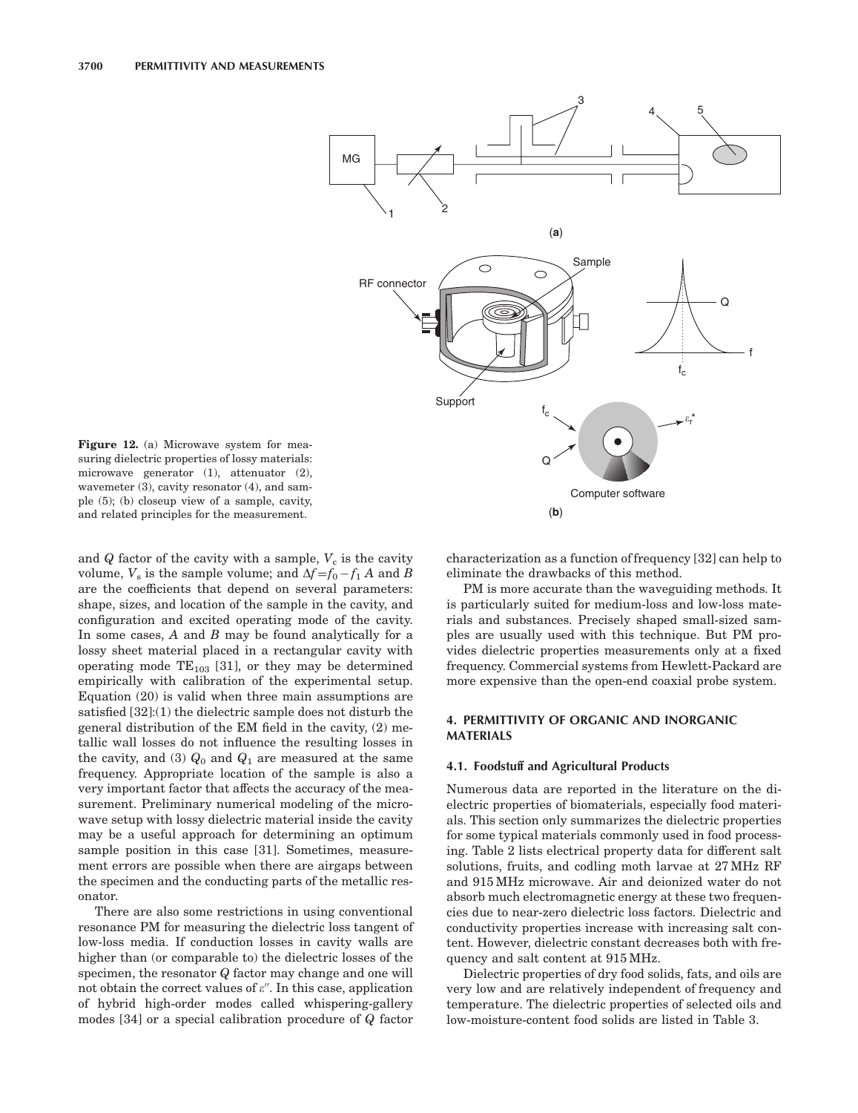

Figure 12. (a) Microwave system for measuring dielectric properties of lossy materials: microwave generator (1), attenuator (2), wavemeter (3), cavity resonator (4), and sample (5); (b) closeup view of a sample, cavity, and related principles for the measurement.

and  $Q$  factor of the cavity with a sample,  $V_c$  is the cavity volume,  $V_{\rm s}$  is the sample volume; and  $\Delta f = f_0 - f_1 A$  and  $B$ are the coefficients that depend on several parameters: shape, sizes, and location of the sample in the cavity, and configuration and excited operating mode of the cavity. In some cases, A and B may be found analytically for a lossy sheet material placed in a rectangular cavity with operating mode  $TE_{103}$  [31], or they may be determined empirically with calibration of the experimental setup. Equation (20) is valid when three main assumptions are satisfied [32]:(1) the dielectric sample does not disturb the general distribution of the EM field in the cavity, (2) metallic wall losses do not influence the resulting losses in the cavity, and (3)  $Q_0$  and  $Q_1$  are measured at the same frequency. Appropriate location of the sample is also a very important factor that affects the accuracy of the measurement. Preliminary numerical modeling of the microwave setup with lossy dielectric material inside the cavity may be a useful approach for determining an optimum sample position in this case [31]. Sometimes, measurement errors are possible when there are airgaps between the specimen and the conducting parts of the metallic resonator.

There are also some restrictions in using conventional resonance PM for measuring the dielectric loss tangent of low-loss media. If conduction losses in cavity walls are higher than (or comparable to) the dielectric losses of the specimen, the resonator Q factor may change and one will not obtain the correct values of  $\varepsilon''$ . In this case, application of hybrid high-order modes called whispering-gallery modes [34] or a special calibration procedure of Q factor

characterization as a function of frequency [32] can help to eliminate the drawbacks of this method.

PM is more accurate than the waveguiding methods. It is particularly suited for medium-loss and low-loss materials and substances. Precisely shaped small-sized samples are usually used with this technique. But PM provides dielectric properties measurements only at a fixed frequency. Commercial systems from Hewlett-Packard are more expensive than the open-end coaxial probe system.

# 4. PERMITTIVITY OF ORGANIC AND INORGANIC MATERIALS

### 4.1. Foodstuff and Agricultural Products

Numerous data are reported in the literature on the dielectric properties of biomaterials, especially food materials. This section only summarizes the dielectric properties for some typical materials commonly used in food processing. Table 2 lists electrical property data for different salt solutions, fruits, and codling moth larvae at 27 MHz RF and 915 MHz microwave. Air and deionized water do not absorb much electromagnetic energy at these two frequencies due to near-zero dielectric loss factors. Dielectric and conductivity properties increase with increasing salt content. However, dielectric constant decreases both with frequency and salt content at 915 MHz.

Dielectric properties of dry food solids, fats, and oils are very low and are relatively independent of frequency and temperature. The dielectric properties of selected oils and low-moisture-content food solids are listed in Table 3.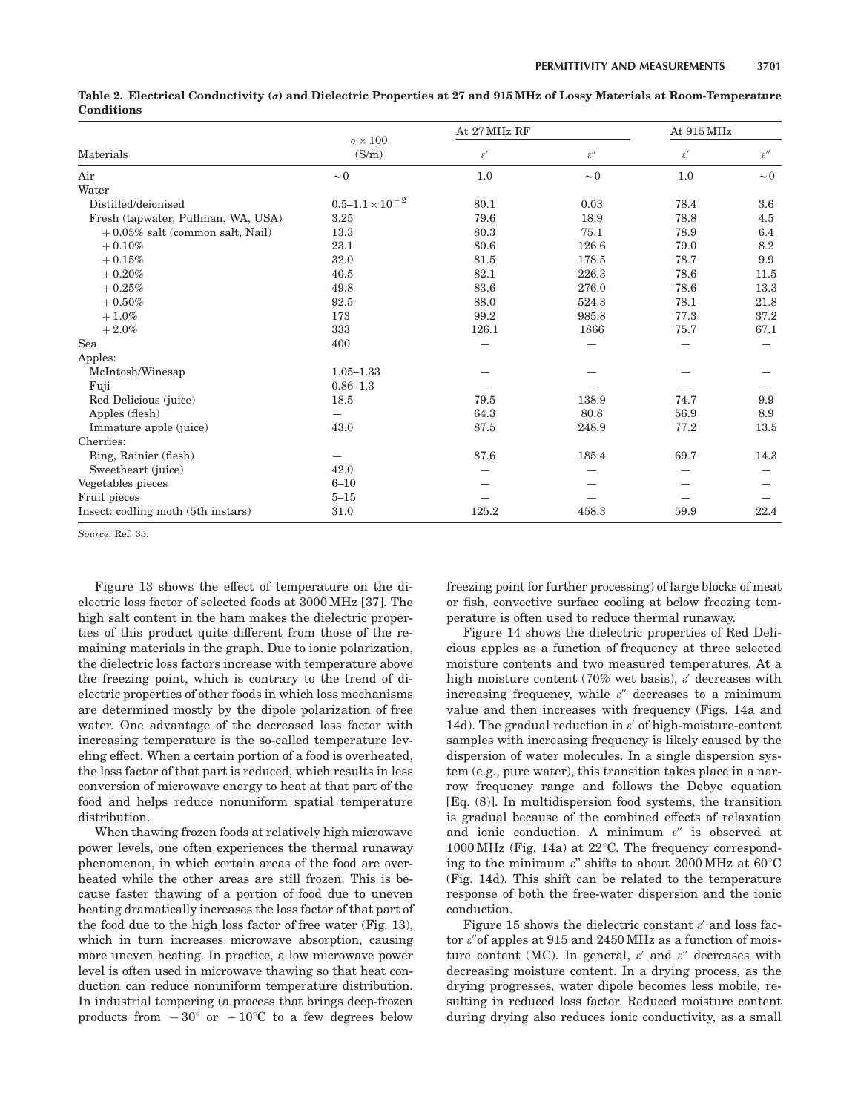|                                    | $\sigma \times 100$            | At 27 MHz RF         |                 | At 915 MHz     |                              |  |
|------------------------------------|--------------------------------|----------------------|-----------------|----------------|------------------------------|--|
| Materials                          | (S/m)                          | $\varepsilon^\prime$ | $\varepsilon''$ | $\varepsilon'$ | $\varepsilon^{\prime\prime}$ |  |
| Air                                | $\sim 0$                       | 1.0                  | $\sim 0$        | 1.0            | $\sim 0$                     |  |
| Water                              |                                |                      |                 |                |                              |  |
| Distilled/deionised                | $0.5\text{--}1.1\times10^{-2}$ | 80.1                 | 0.03            | 78.4           | 3.6                          |  |
| Fresh (tapwater, Pullman, WA, USA) | 3.25                           | 79.6                 | 18.9            | 78.8           | 4.5                          |  |
| $+0.05\%$ salt (common salt, Nail) | 13.3                           | 80.3                 | 75.1            | 78.9           | 6.4                          |  |
| $+0.10%$                           | 23.1                           | 80.6                 | 126.6           | 79.0           | 8.2                          |  |
| $+0.15%$                           | 32.0                           | 81.5                 | 178.5           | 78.7           | 9.9                          |  |
| $+0.20%$                           | 40.5                           | 82.1                 | 226.3           | 78.6           | 11.5                         |  |
| $+0.25%$                           | 49.8                           | 83.6                 | 276.0           | 78.6           | 13.3                         |  |
| $+0.50%$                           | 92.5                           | 88.0                 | 524.3           | 78.1           | 21.8                         |  |
| $+1.0%$                            | 173                            | 99.2                 | 985.8           | 77.3           | 37.2                         |  |
| $+2.0%$                            | 333                            | 126.1                | 1866            | 75.7           | 67.1                         |  |
| Sea                                | 400                            |                      |                 |                |                              |  |
| Apples:                            |                                |                      |                 |                |                              |  |
| McIntosh/Winesap                   | $1.05 - 1.33$                  |                      |                 |                |                              |  |
| Fuji                               | $0.86 - 1.3$                   |                      |                 |                |                              |  |
| Red Delicious (juice)              | 18.5                           | 79.5                 | 138.9           | 74.7           | 9.9                          |  |
| Apples (flesh)                     |                                | 64.3                 | 80.8            | 56.9           | 8.9                          |  |
| Immature apple (juice)             | 43.0                           | 87.5                 | 248.9           | 77.2           | 13.5                         |  |
| Cherries:                          |                                |                      |                 |                |                              |  |
| Bing, Rainier (flesh)              |                                | 87.6                 | 185.4           | 69.7           | 14.3                         |  |
| Sweetheart (juice)                 | 42.0                           |                      |                 |                |                              |  |
| Vegetables pieces                  | $6 - 10$                       |                      |                 |                |                              |  |
| Fruit pieces                       | $5 - 15$                       |                      |                 |                |                              |  |
| Insect: codling moth (5th instars) | 31.0                           | 125.2                | 458.3           | 59.9           | 22.4                         |  |

Table 2. Electrical Conductivity (o) and Dielectric Properties at 27 and 915 MHz of Lossy Materials at Room-Temperature Conditions

Source: Ref. 35.

Figure 13 shows the effect of temperature on the dielectric loss factor of selected foods at 3000 MHz [37]. The high salt content in the ham makes the dielectric properties of this product quite different from those of the remaining materials in the graph. Due to ionic polarization, the dielectric loss factors increase with temperature above the freezing point, which is contrary to the trend of dielectric properties of other foods in which loss mechanisms are determined mostly by the dipole polarization of free water. One advantage of the decreased loss factor with increasing temperature is the so-called temperature leveling effect. When a certain portion of a food is overheated, the loss factor of that part is reduced, which results in less conversion of microwave energy to heat at that part of the food and helps reduce nonuniform spatial temperature distribution.

When thawing frozen foods at relatively high microwave power levels, one often experiences the thermal runaway phenomenon, in which certain areas of the food are overheated while the other areas are still frozen. This is because faster thawing of a portion of food due to uneven heating dramatically increases the loss factor of that part of the food due to the high loss factor of free water (Fig. 13), which in turn increases microwave absorption, causing more uneven heating. In practice, a low microwave power level is often used in microwave thawing so that heat conduction can reduce nonuniform temperature distribution. In industrial tempering (a process that brings deep-frozen products from  $-30^{\circ}$  or  $-10^{\circ}$ C to a few degrees below

freezing point for further processing) of large blocks of meat or fish, convective surface cooling at below freezing temperature is often used to reduce thermal runaway.

Figure 14 shows the dielectric properties of Red Delicious apples as a function of frequency at three selected moisture contents and two measured temperatures. At a high moisture content (70% wet basis),  $\varepsilon'$  decreases with increasing frequency, while  $\varepsilon''$  decreases to a minimum value and then increases with frequency (Figs. 14a and 14d). The gradual reduction in  $\varepsilon'$  of high-moisture-content samples with increasing frequency is likely caused by the dispersion of water molecules. In a single dispersion system (e.g., pure water), this transition takes place in a narrow frequency range and follows the Debye equation [Eq. (8)]. In multidispersion food systems, the transition is gradual because of the combined effects of relaxation and ionic conduction. A minimum  $\varepsilon''$  is observed at  $1000 \text{ MHz}$  (Fig. 14a) at  $22^{\circ}$ C. The frequency corresponding to the minimum  $\varepsilon$ " shifts to about 2000 MHz at 60 $\mathrm{^{\circ}C}$ (Fig. 14d). This shift can be related to the temperature response of both the free-water dispersion and the ionic conduction.

Figure 15 shows the dielectric constant  $\varepsilon'$  and loss factor  $\varepsilon$ " of apples at 915 and 2450 MHz as a function of moisture content (MC). In general,  $\varepsilon'$  and  $\varepsilon''$  decreases with decreasing moisture content. In a drying process, as the drying progresses, water dipole becomes less mobile, resulting in reduced loss factor. Reduced moisture content during drying also reduces ionic conductivity, as a small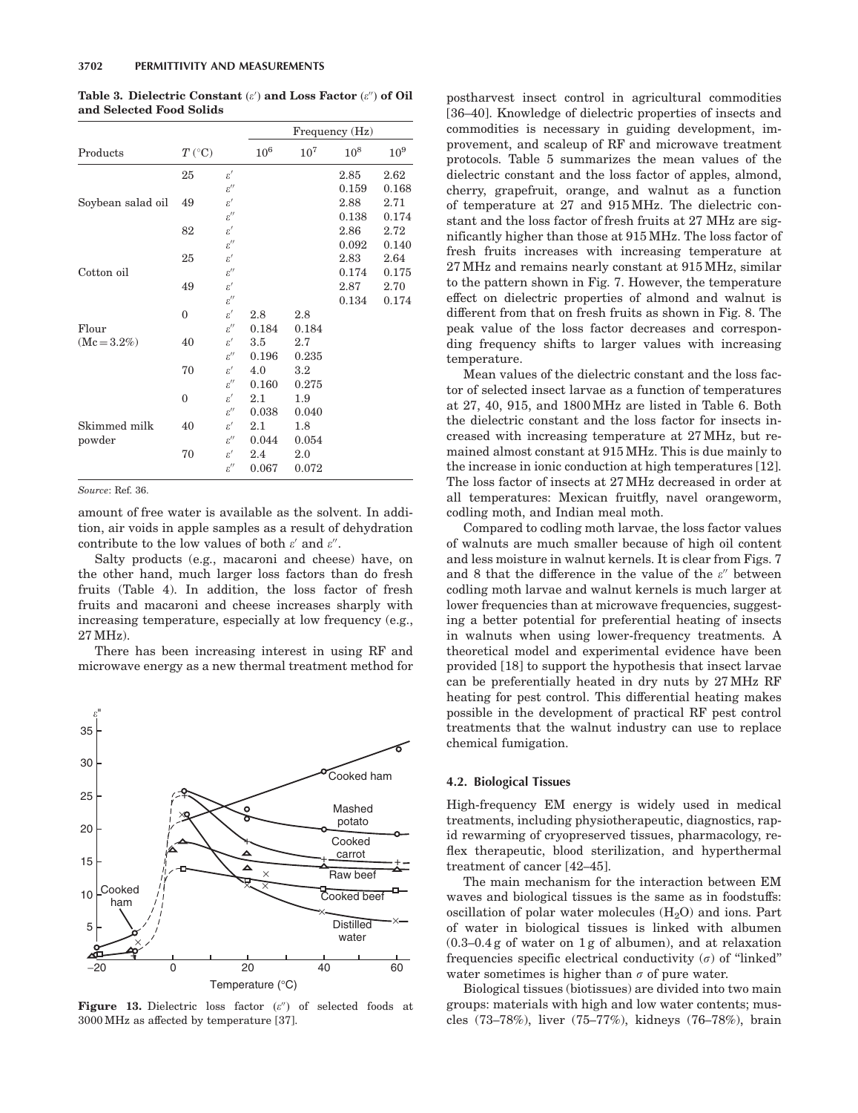|                   |                  |                              |                 |                 | Frequency (Hz) |        |
|-------------------|------------------|------------------------------|-----------------|-----------------|----------------|--------|
| Products          | $T({}^{\circ}C)$ |                              | 10 <sup>6</sup> | 10 <sup>7</sup> | $10^8$         | $10^9$ |
|                   | 25               | $\varepsilon'$               |                 |                 | 2.85           | 2.62   |
|                   |                  | $\varepsilon''$              |                 |                 | 0.159          | 0.168  |
| Soybean salad oil | 49               | $\varepsilon'$               |                 |                 | 2.88           | 2.71   |
|                   |                  | $\varepsilon''$              |                 |                 | 0.138          | 0.174  |
|                   | 82               | $\varepsilon'$               |                 |                 | 2.86           | 2.72   |
|                   |                  | $\varepsilon^{\prime\prime}$ |                 |                 | 0.092          | 0.140  |
|                   | 25               | $\varepsilon^\prime$         |                 |                 | 2.83           | 2.64   |
| Cotton oil        |                  | $\varepsilon^{\prime\prime}$ |                 |                 | 0.174          | 0.175  |
|                   | 49               | $\varepsilon^\prime$         |                 |                 | 2.87           | 2.70   |
|                   |                  | $\varepsilon''$              |                 |                 | 0.134          | 0.174  |
|                   | $\Omega$         | $\varepsilon'$               | 2.8             | 2.8             |                |        |
| Flour             |                  | $\varepsilon''$              | 0.184           | 0.184           |                |        |
| $(Mc = 3.2\%)$    | 40               | $\varepsilon'$               | $3.5\,$         | 2.7             |                |        |
|                   |                  | $\varepsilon''$              | 0.196           | 0.235           |                |        |
|                   | 70               | $\varepsilon'$               | 4.0             | $3.2\,$         |                |        |
|                   |                  | $\varepsilon''$              | 0.160           | 0.275           |                |        |
|                   | $\mathbf{0}$     | $\varepsilon'$               | 2.1             | 1.9             |                |        |
|                   |                  | $\varepsilon''$              | 0.038           | 0.040           |                |        |
| Skimmed milk      | 40               | $\varepsilon'$               | 2.1             | 1.8             |                |        |
| powder            |                  | $\varepsilon^{\prime\prime}$ | 0.044           | 0.054           |                |        |
|                   | 70               | $\varepsilon'$               | 2.4             | 2.0             |                |        |
|                   |                  | $\varepsilon''$              | 0.067           | 0.072           |                |        |

Table 3. Dielectric Constant  $(\varepsilon')$  and Loss Factor  $(\varepsilon'')$  of Oil and Selected Food Solids

Source: Ref. 36.

amount of free water is available as the solvent. In addition, air voids in apple samples as a result of dehydration contribute to the low values of both  $\varepsilon'$  and  $\varepsilon''$ .

Salty products (e.g., macaroni and cheese) have, on the other hand, much larger loss factors than do fresh fruits (Table 4). In addition, the loss factor of fresh fruits and macaroni and cheese increases sharply with increasing temperature, especially at low frequency (e.g., 27 MHz).

There has been increasing interest in using RF and microwave energy as a new thermal treatment method for



**Figure 13.** Dielectric loss factor  $(e'')$  of selected foods at 3000 MHz as affected by temperature [37].

postharvest insect control in agricultural commodities [36–40]. Knowledge of dielectric properties of insects and commodities is necessary in guiding development, improvement, and scaleup of RF and microwave treatment protocols. Table 5 summarizes the mean values of the dielectric constant and the loss factor of apples, almond, cherry, grapefruit, orange, and walnut as a function of temperature at 27 and 915 MHz. The dielectric constant and the loss factor of fresh fruits at 27 MHz are significantly higher than those at 915 MHz. The loss factor of fresh fruits increases with increasing temperature at 27 MHz and remains nearly constant at 915 MHz, similar to the pattern shown in Fig. 7. However, the temperature effect on dielectric properties of almond and walnut is different from that on fresh fruits as shown in Fig. 8. The peak value of the loss factor decreases and corresponding frequency shifts to larger values with increasing temperature.

Mean values of the dielectric constant and the loss factor of selected insect larvae as a function of temperatures at 27, 40, 915, and 1800 MHz are listed in Table 6. Both the dielectric constant and the loss factor for insects increased with increasing temperature at 27 MHz, but remained almost constant at 915 MHz. This is due mainly to the increase in ionic conduction at high temperatures [12]. The loss factor of insects at 27 MHz decreased in order at all temperatures: Mexican fruitfly, navel orangeworm, codling moth, and Indian meal moth.

Compared to codling moth larvae, the loss factor values of walnuts are much smaller because of high oil content and less moisture in walnut kernels. It is clear from Figs. 7 and 8 that the difference in the value of the  $\varepsilon$ <sup>"</sup> between codling moth larvae and walnut kernels is much larger at lower frequencies than at microwave frequencies, suggesting a better potential for preferential heating of insects in walnuts when using lower-frequency treatments. A theoretical model and experimental evidence have been provided [18] to support the hypothesis that insect larvae can be preferentially heated in dry nuts by 27 MHz RF heating for pest control. This differential heating makes possible in the development of practical RF pest control treatments that the walnut industry can use to replace chemical fumigation.

#### 4.2. Biological Tissues

High-frequency EM energy is widely used in medical treatments, including physiotherapeutic, diagnostics, rapid rewarming of cryopreserved tissues, pharmacology, reflex therapeutic, blood sterilization, and hyperthermal treatment of cancer [42–45].

The main mechanism for the interaction between EM waves and biological tissues is the same as in foodstuffs: oscillation of polar water molecules  $(H<sub>2</sub>O)$  and ions. Part of water in biological tissues is linked with albumen  $(0.3-0.4 g)$  of water on 1g of albumen), and at relaxation frequencies specific electrical conductivity  $(\sigma)$  of "linked" water sometimes is higher than  $\sigma$  of pure water.

Biological tissues (biotissues) are divided into two main groups: materials with high and low water contents; muscles (73–78%), liver (75–77%), kidneys (76–78%), brain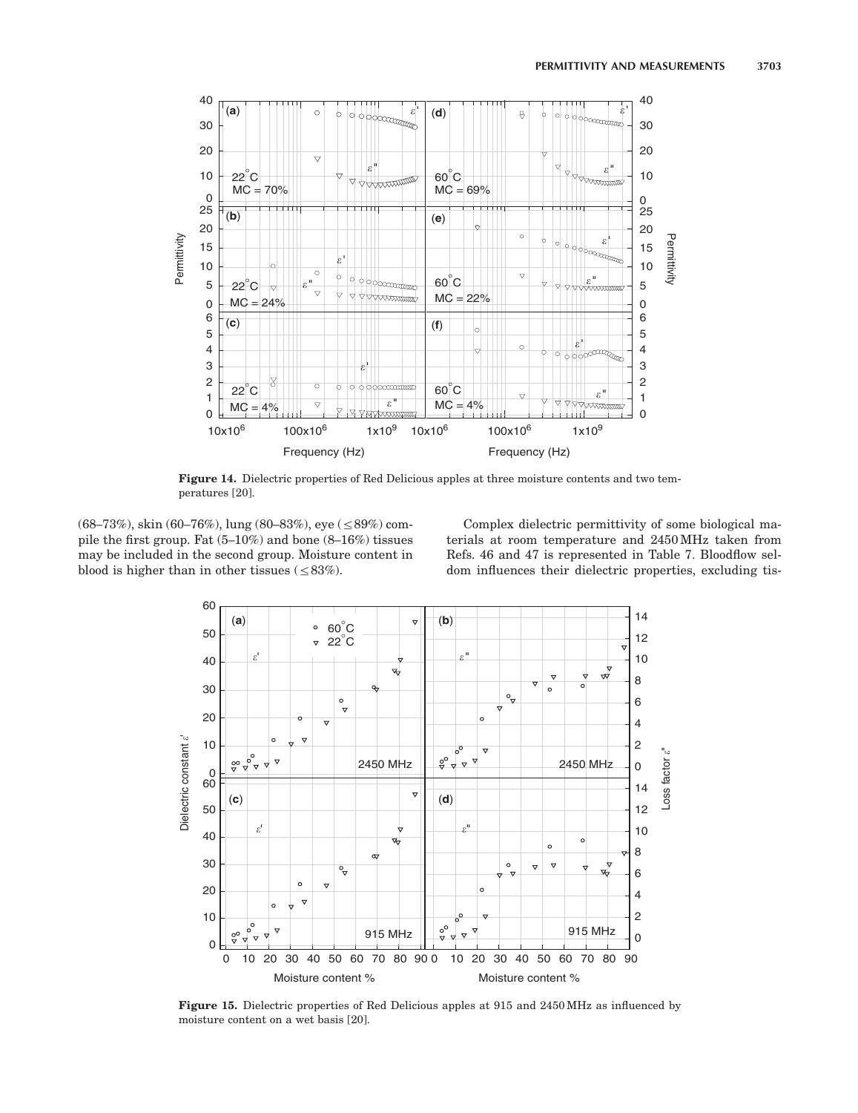

Figure 14. Dielectric properties of Red Delicious apples at three moisture contents and two temperatures [20].

(68-73%), skin (60-76%), lung (80-83%), eye (<89%) compile the first group. Fat (5–10%) and bone (8–16%) tissues may be included in the second group. Moisture content in blood is higher than in other tissues ( $\leq$ 83%).

Complex dielectric permittivity of some biological materials at room temperature and 2450 MHz taken from Refs. 46 and 47 is represented in Table 7. Bloodflow seldom influences their dielectric properties, excluding tis-



Figure 15. Dielectric properties of Red Delicious apples at 915 and 2450 MHz as influenced by moisture content on a wet basis [20].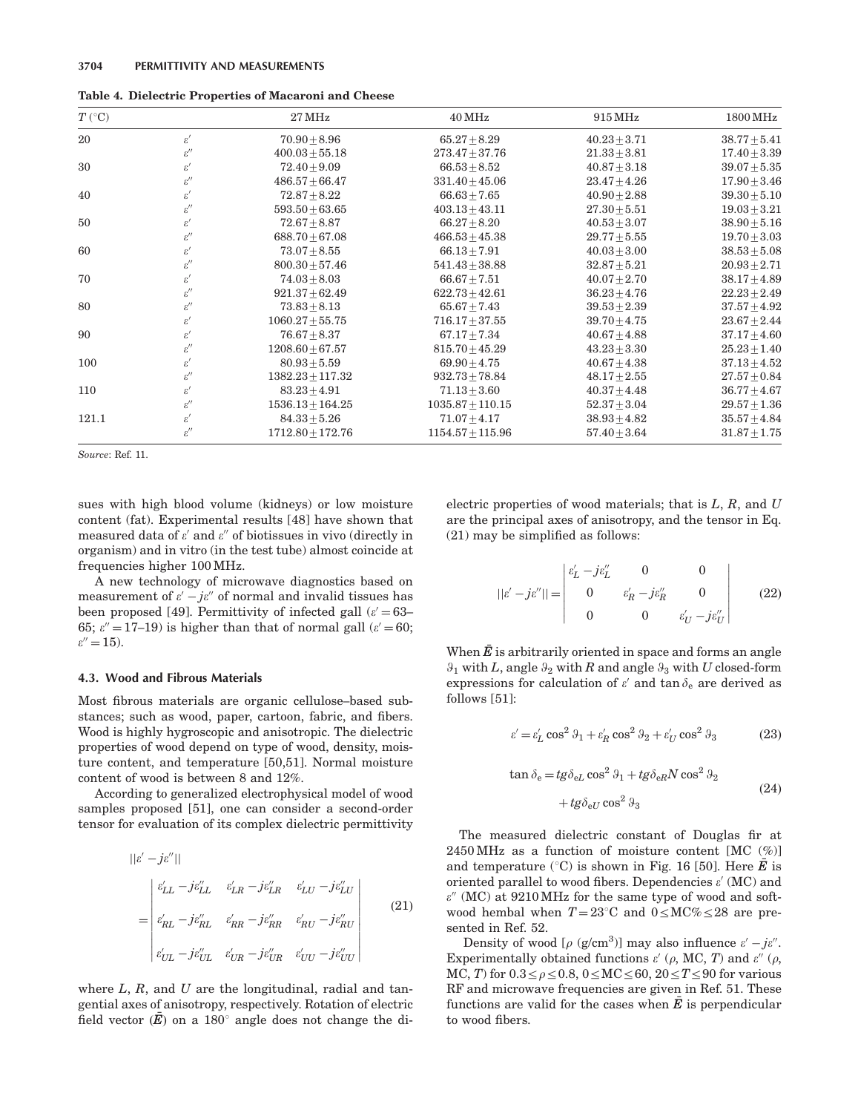| $T({}^{\circ}C)$ |                              | $27\,\mathrm{MHz}$   | 40 MHz               | 915 MHz          | 1800 MHz         |
|------------------|------------------------------|----------------------|----------------------|------------------|------------------|
| 20               | $\varepsilon'$               | $70.90 + 8.96$       | $65.27 \pm 8.29$     | $40.23 + 3.71$   | $38.77 + 5.41$   |
|                  | $\varepsilon^{\prime\prime}$ | $400.03 + 55.18$     | $273.47 \pm 37.76$   | $21.33 + 3.81$   | $17.40 \pm 3.39$ |
| 30               |                              | $72.40 + 9.09$       | $66.53 + 8.52$       | $40.87 \pm 3.18$ | $39.07 + 5.35$   |
|                  | $\varepsilon^{\prime\prime}$ | $486.57 + 66.47$     | $331.40 \pm 45.06$   | $23.47 \pm 4.26$ | $17.90 \pm 3.46$ |
| 40               |                              | $72.87 + 8.22$       | $66.63 + 7.65$       | $40.90 + 2.88$   | $39.30 + 5.10$   |
|                  | $\varepsilon^{\prime\prime}$ | $593.50 \pm 63.65$   | $403.13 \pm 43.11$   | $27.30 + 5.51$   | $19.03 \pm 3.21$ |
| 50               |                              | $72.67 + 8.87$       | $66.27 \pm 8.20$     | $40.53 + 3.07$   | $38.90 + 5.16$   |
|                  | $\varepsilon^{\prime\prime}$ | $688.70 + 67.08$     | $466.53 + 45.38$     | $29.77 + 5.55$   | $19.70 \pm 3.03$ |
| 60               |                              | $73.07 + 8.55$       | $66.13 + 7.91$       | $40.03 + 3.00$   | $38.53 + 5.08$   |
|                  | $\varepsilon^{\prime\prime}$ | $800.30 + 57.46$     | $541.43 + 38.88$     | $32.87 + 5.21$   | $20.93 + 2.71$   |
| 70               |                              | $74.03 + 8.03$       | $66.67 + 7.51$       | $40.07 + 2.70$   | $38.17 \pm 4.89$ |
|                  |                              | $921.37 + 62.49$     | $622.73 + 42.61$     | $36.23 + 4.76$   | $22.23 + 2.49$   |
| 80               | $\varepsilon^{\prime\prime}$ | $73.83 + 8.13$       | $65.67 \pm 7.43$     | $39.53 \pm 2.39$ | $37.57 \pm 4.92$ |
|                  |                              | $1060.27 + 55.75$    | $716.17 \pm 37.55$   | $39.70 + 4.75$   | $23.67 + 2.44$   |
| 90               |                              | $76.67 + 8.37$       | $67.17 + 7.34$       | $40.67 + 4.88$   | $37.17 + 4.60$   |
|                  |                              | $1208.60 \pm 67.57$  | $815.70 \pm 45.29$   | $43.23 \pm 3.30$ | $25.23 \pm 1.40$ |
| 100              |                              | $80.93 + 5.59$       | $69.90 + 4.75$       | $40.67 + 4.38$   | $37.13 \pm 4.52$ |
|                  |                              | $1382.23 \pm 117.32$ | $932.73 \pm 78.84$   | $48.17 \pm 2.55$ | $27.57 \pm 0.84$ |
| 110              |                              | $83.23 + 4.91$       | $71.13 \pm 3.60$     | $40.37 + 4.48$   | $36.77 \pm 4.67$ |
|                  |                              | $1536.13 + 164.25$   | $1035.87 + 110.15$   | $52.37 \pm 3.04$ | $29.57 + 1.36$   |
| 121.1            |                              | $84.33 \pm 5.26$     | $71.07 \pm 4.17$     | $38.93 \pm 4.82$ | $35.57 \pm 4.84$ |
|                  |                              | $1712.80 + 172.76$   | $1154.57 \pm 115.96$ | $57.40 + 3.64$   | $31.87 \pm 1.75$ |

Source: Ref. 11.

sues with high blood volume (kidneys) or low moisture content (fat). Experimental results [48] have shown that measured data of  $\varepsilon'$  and  $\varepsilon''$  of biotissues in vivo (directly in organism) and in vitro (in the test tube) almost coincide at frequencies higher 100 MHz.

A new technology of microwave diagnostics based on measurement of  $\varepsilon' - j\varepsilon''$  of normal and invalid tissues has been proposed [49]. Permittivity of infected gall  $(\varepsilon' = 63-$ 65;  $\varepsilon'' = 17-19$ ) is higher than that of normal gall ( $\varepsilon' = 60$ ;  $\varepsilon^{\prime\prime} = 15$ ).

## 4.3. Wood and Fibrous Materials

Most fibrous materials are organic cellulose–based substances; such as wood, paper, cartoon, fabric, and fibers. Wood is highly hygroscopic and anisotropic. The dielectric properties of wood depend on type of wood, density, moisture content, and temperature [50,51]. Normal moisture content of wood is between 8 and 12%.

According to generalized electrophysical model of wood samples proposed [51], one can consider a second-order tensor for evaluation of its complex dielectric permittivity

$$
||\varepsilon' - j\varepsilon''||
$$
  
\n
$$
= \begin{vmatrix} \varepsilon'_{LL} - j\varepsilon''_{LL} & \varepsilon'_{LR} - j\varepsilon''_{LR} & \varepsilon'_{LU} - j\varepsilon''_{LU} \\ \varepsilon'_{RL} - j\varepsilon''_{RL} & \varepsilon'_{RR} - j\varepsilon''_{RR} & \varepsilon'_{RU} - j\varepsilon''_{RU} \\ \varepsilon'_{UL} - j\varepsilon''_{UL} & \varepsilon'_{UR} - j\varepsilon''_{UR} & \varepsilon'_{UU} - j\varepsilon''_{UU} \end{vmatrix}
$$
(21)

where  $L, R$ , and  $U$  are the longitudinal, radial and tangential axes of anisotropy, respectively. Rotation of electric field vector  $(\mathbf{E})$  on a 180° angle does not change the dielectric properties of wood materials; that is  $L, R$ , and  $U$ are the principal axes of anisotropy, and the tensor in Eq. (21) may be simplified as follows:

$$
||\varepsilon' - j\varepsilon''|| = \begin{vmatrix} \varepsilon'_L - j\varepsilon''_L & 0 & 0 \\ 0 & \varepsilon'_R - j\varepsilon''_R & 0 \\ 0 & 0 & \varepsilon'_U - j\varepsilon''_U \end{vmatrix}
$$
 (22)

When  $\bar{E}$  is arbitrarily oriented in space and forms an angle  $\vartheta_1$  with L, angle  $\vartheta_2$  with R and angle  $\vartheta_3$  with U closed-form expressions for calculation of  $\varepsilon'$  and tan  $\delta_e$  are derived as follows [51]:

$$
\varepsilon' = \varepsilon_L' \cos^2 \theta_1 + \varepsilon_R' \cos^2 \theta_2 + \varepsilon_U' \cos^2 \theta_3 \tag{23}
$$

$$
\tan \delta_e = t g \delta_{eL} \cos^2 \theta_1 + t g \delta_{eR} N \cos^2 \theta_2
$$
  
+ 
$$
t g \delta_{eU} \cos^2 \theta_3
$$
 (24)

The measured dielectric constant of Douglas fir at 2450 MHz as a function of moisture content [MC (%)] and temperature ( $\degree$ C) is shown in Fig. 16 [50]. Here  $\bar{E}$  is oriented parallel to wood fibers. Dependencies  $\varepsilon'$  (MC) and  $\varepsilon$ " (MC) at 9210 MHz for the same type of wood and softwood hembal when  $T = 23^{\circ}\text{C}$  and  $0 \leq \text{MC} \% \leq 28$  are presented in Ref. 52.

Density of wood  $\lbrack \rho \ (\text{g/cm}^3) \rbrack$  may also influence  $\varepsilon' - j\varepsilon''$ . Experimentally obtained functions  $\varepsilon'$  ( $\rho$ , MC, T) and  $\varepsilon''$  ( $\rho$ , MC, T for  $0.3 \leq \rho \leq 0.8$ ,  $0 \leq MC \leq 60$ ,  $20 \leq T \leq 90$  for various RF and microwave frequencies are given in Ref. 51. These functions are valid for the cases when  $E$  is perpendicular to wood fibers.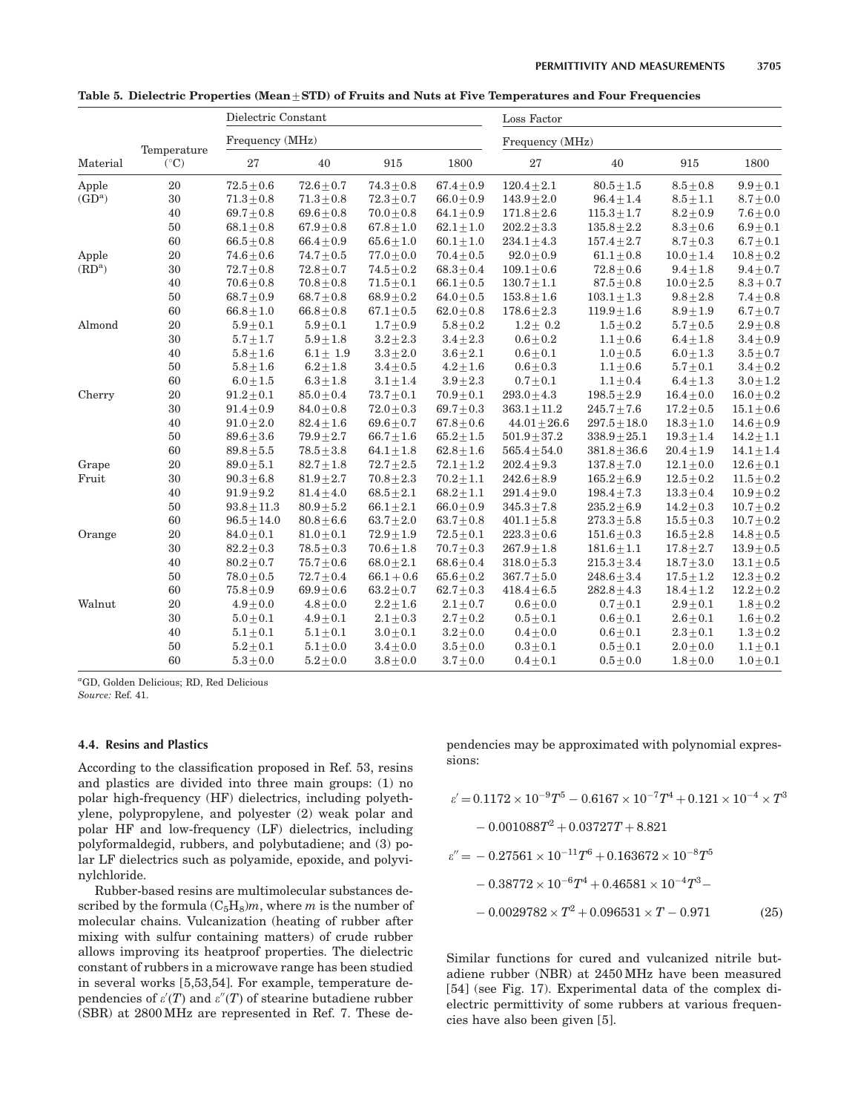| Table 5. Dielectric Properties (Mean $\pm \text{STD}$ ) of Fruits and Nuts at Five Temperatures and Four Frequencies |  |
|----------------------------------------------------------------------------------------------------------------------|--|
|----------------------------------------------------------------------------------------------------------------------|--|

|          |                 | Dielectric Constant |                |                |                | Loss Factor      |                  |                |                |
|----------|-----------------|---------------------|----------------|----------------|----------------|------------------|------------------|----------------|----------------|
|          | Temperature     | Frequency (MHz)     |                |                |                | Frequency (MHz)  |                  |                |                |
| Material | $({}^{\circ}C)$ | 27                  | 40             | 915            | 1800           | 27               | 40               | 915            | 1800           |
| Apple    | 20              | $72.5 + 0.6$        | $72.6 + 0.7$   | $74.3 + 0.8$   | $67.4 + 0.9$   | $120.4 + 2.1$    | $80.5 + 1.5$     | $8.5 + 0.8$    | $9.9 + 0.1$    |
| $(GD^a)$ | 30              | $71.3 \pm 0.8$      | $71.3 + 0.8$   | $72.3 + 0.7$   | $66.0 + 0.9$   | $143.9 + 2.0$    | $96.4 + 1.4$     | $8.5 + 1.1$    | $8.7 + 0.0$    |
|          | 40              | $69.7 \pm 0.8$      | $69.6 \pm 0.8$ | $70.0 \pm 0.8$ | $64.1 \pm 0.9$ | $171.8 \pm 2.6$  | $115.3 \pm 1.7$  | $8.2 + 0.9$    | $7.6 + 0.0$    |
|          | 50              | $68.1 \pm 0.8$      | $67.9 \pm 0.8$ | $67.8 \pm 1.0$ | $62.1 \pm 1.0$ | $202.2 \pm 3.3$  | $135.8 \pm 2.2$  | $8.3 \pm 0.6$  | $6.9\pm0.1$    |
|          | 60              | $66.5 + 0.8$        | $66.4 + 0.9$   | $65.6 + 1.0$   | $60.1 + 1.0$   | $234.1 + 4.3$    | $157.4 + 2.7$    | $8.7 + 0.3$    | $6.7 + 0.1$    |
| Apple    | 20              | $74.6 \pm 0.6$      | $74.7 \pm 0.5$ | $77.0\pm0.0$   | $70.4 \pm 0.5$ | $92.0 \pm 0.9$   | $61.1 \pm 0.8$   | $10.0 + 1.4$   | $10.8\pm0.2$   |
| $(RD^a)$ | 30              | $72.7 \pm 0.8$      | $72.8 \pm 0.7$ | $74.5 \pm 0.2$ | $68.3 \pm 0.4$ | $109.1 \pm 0.6$  | $72.8 \pm 0.6$   | $9.4 + 1.8$    | $9.4 + 0.7$    |
|          | 40              | $70.6 \pm 0.8$      | $70.8 \pm 0.8$ | $71.5 \pm 0.1$ | $66.1 \pm 0.5$ | $130.7 \pm 1.1$  | $87.5 \pm 0.8$   | $10.0 \pm 2.5$ | $8.3 + 0.7$    |
|          | 50              | $68.7 \pm 0.9$      | $68.7 \pm 0.8$ | $68.9 \pm 0.2$ | $64.0 \pm 0.5$ | $153.8 \pm 1.6$  | $103.1 \pm 1.3$  | $9.8 + 2.8$    | $7.4 \pm 0.8$  |
|          | 60              | $66.8 \pm 1.0$      | $66.8 \pm 0.8$ | $67.1 \pm 0.5$ | $62.0 \pm 0.8$ | $178.6 \pm 2.3$  | $119.9 \pm 1.6$  | $8.9 + 1.9$    | $6.7 \pm 0.7$  |
| Almond   | 20              | $5.9 + 0.1$         | $5.9 + 0.1$    | $1.7 \pm 0.9$  | $5.8 \pm 0.2$  | $1.2 \pm 0.2$    | $1.5 + 0.2$      | $5.7 + 0.5$    | $2.9 + 0.8$    |
|          | 30              | $5.7 + 1.7$         | $5.9 + 1.8$    | $3.2 + 2.3$    | $3.4 + 2.3$    | $0.6 + 0.2$      | $1.1 \pm 0.6$    | $6.4 + 1.8$    | $3.4 + 0.9$    |
|          | 40              | $5.8\pm1.6$         | $6.1 \pm 1.9$  | $3.3\pm2.0$    | $3.6 + 2.1$    | $0.6 + 0.1$      | $1.0\pm0.5$      | $6.0 \pm 1.3$  | $3.5\pm0.7$    |
|          | 50              | $5.8 + 1.6$         | $6.2 + 1.8$    | $3.4 + 0.5$    | $4.2 \pm 1.6$  | $0.6 + 0.3$      | $1.1 \pm 0.6$    | $5.7 \pm 0.1$  | $3.4 + 0.2$    |
|          | 60              | $6.0 \pm 1.5$       | $6.3 \pm 1.8$  | $3.1 \pm 1.4$  | $3.9 + 2.3$    | $0.7 \pm 0.1$    | $1.1 \pm 0.4$    | $6.4 \pm 1.3$  | $3.0 + 1.2$    |
| Cherry   | 20              | $91.2 + 0.1$        | $85.0 + 0.4$   | $73.7 + 0.1$   | $70.9 + 0.1$   | $293.0 + 4.3$    | $198.5 + 2.9$    | $16.4 + 0.0$   | $16.0 + 0.2$   |
|          | 30              | $91.4\pm0.9$        | $84.0 \pm 0.8$ | $72.0 \pm 0.3$ | $69.7\pm0.3$   | $363.1 \pm 11.2$ | $245.7 \pm 7.6$  | $17.2\pm0.5$   | $15.1 \pm 0.6$ |
|          | 40              | $91.0 \pm 2.0$      | $82.4 \pm 1.6$ | $69.6 \pm 0.7$ | $67.8 \pm 0.6$ | $44.01 \pm 26.6$ | $297.5 \pm 18.0$ | $18.3 \pm 1.0$ | $14.6\pm0.9$   |
|          | 50              | $89.6 \pm 3.6$      | $79.9 + 2.7$   | $66.7 + 1.6$   | $65.2 + 1.5$   | $501.9 + 37.2$   | $338.9 + 25.1$   | $19.3 \pm 1.4$ | $14.2 \pm 1.1$ |
|          | 60              | $89.8 + 5.5$        | $78.5 \pm 3.8$ | $64.1 \pm 1.8$ | $62.8 \pm 1.6$ | $565.4 \pm 54.0$ | $381.8 \pm 36.6$ | $20.4 \pm 1.9$ | $14.1 \pm 1.4$ |
| Grape    | 20              | $89.0 + 5.1$        | $82.7 \pm 1.8$ | $72.7 + 2.5$   | $72.1 + 1.2$   | $202.4 + 9.3$    | $137.8 + 7.0$    | $12.1 + 0.0$   | $12.6 \pm 0.1$ |
| Fruit    | 30              | $90.3\pm6.8$        | $81.9 \pm 2.7$ | $70.8 \pm 2.3$ | $70.2 \pm 1.1$ | $242.6 \pm 8.9$  | $165.2 \pm 6.9$  | $12.5 \pm 0.2$ | $11.5 \pm 0.2$ |
|          | 40              | $91.9 + 9.2$        | $81.4 \pm 4.0$ | $68.5 \pm 2.1$ | $68.2 + 1.1$   | $291.4 \pm 9.0$  | $198.4 \pm 7.3$  | $13.3 \pm 0.4$ | $10.9 + 0.2$   |
|          | 50              | $93.8 \pm 11.3$     | $80.9 + 5.2$   | $66.1 + 2.1$   | $66.0 \pm 0.9$ | $345.3 \pm 7.8$  | $235.2 \pm 6.9$  | $14.2 \pm 0.3$ | $10.7 \pm 0.2$ |
|          | 60              | $96.5 \pm 14.0$     | $80.8 + 6.6$   | $63.7 \pm 2.0$ | $63.7\pm0.8$   | $401.1 \pm 5.8$  | $273.3 \pm 5.8$  | $15.5 \pm 0.3$ | $10.7 \pm 0.2$ |
| Orange   | 20              | $84.0 + 0.1$        | $81.0 + 0.1$   | $72.9 + 1.9$   | $72.5 + 0.1$   | $223.3 + 0.6$    | $151.6 + 0.3$    | $16.5 + 2.8$   | $14.8 \pm 0.5$ |
|          | 30              | $82.2 \pm 0.3$      | $78.5 \pm 0.3$ | $70.6 \pm 1.8$ | $70.7 \pm 0.3$ | $267.9 \pm 1.8$  | $181.6 \pm 1.1$  | $17.8 \pm 2.7$ | $13.9 \pm 0.5$ |
|          | 40              | $80.2 \pm 0.7$      | $75.7 \pm 0.6$ | $68.0 + 2.1$   | $68.6 \pm 0.4$ | $318.0 \pm 5.3$  | $215.3 \pm 3.4$  | $18.7 \pm 3.0$ | $13.1 \pm 0.5$ |
|          | 50              | $78.0 \pm 0.5$      | $72.7 \pm 0.4$ | $66.1 + 0.6$   | $65.6 \pm 0.2$ | $367.7 \pm 5.0$  | $248.6 \pm 3.4$  | $17.5 \pm 1.2$ | $12.3 \pm 0.2$ |
|          | 60              | $75.8 + 0.9$        | $69.9 + 0.6$   | $63.2 + 0.7$   | $62.7 + 0.3$   | $418.4 + 6.5$    | $282.8 + 4.3$    | $18.4 + 1.2$   | $12.2 + 0.2$   |
| Walnut   | 20              | $4.9 + 0.0$         | $4.8 \pm 0.0$  | $2.2 + 1.6$    | $2.1 + 0.7$    | $0.6 + 0.0$      | $0.7 + 0.1$      | $2.9 + 0.1$    | $1.8 + 0.2$    |
|          | 30              | $5.0 + 0.1$         | $4.9 \pm 0.1$  | $2.1 \pm 0.3$  | $2.7 \pm 0.2$  | $0.5 \pm 0.1$    | $0.6 + 0.1$      | $2.6 + 0.1$    | $1.6 + 0.2$    |
|          | 40              | $5.1 + 0.1$         | $5.1 \pm 0.1$  | $3.0 \pm 0.1$  | $3.2\pm0.0$    | $0.4 \pm 0.0$    | $0.6 + 0.1$      | $2.3\pm0.1$    | $1.3 + 0.2$    |
|          | 50              | $5.2 + 0.1$         | $5.1 \pm 0.0$  | $3.4 \pm 0.0$  | $3.5 \pm 0.0$  | $0.3 + 0.1$      | $0.5 + 0.1$      | $2.0 \pm 0.0$  | $1.1 \pm 0.1$  |
|          | 60              | $5.3 + 0.0$         | $5.2 + 0.0$    | $3.8 + 0.0$    | $3.7 \pm 0.0$  | $0.4 + 0.1$      | $0.5 + 0.0$      | $1.8 + 0.0$    | $1.0 + 0.1$    |

a GD, Golden Delicious; RD, Red Delicious Source: Ref. 41.

#### 4.4. Resins and Plastics

According to the classification proposed in Ref. 53, resins and plastics are divided into three main groups: (1) no polar high-frequency (HF) dielectrics, including polyethylene, polypropylene, and polyester (2) weak polar and polar HF and low-frequency (LF) dielectrics, including polyformaldegid, rubbers, and polybutadiene; and (3) polar LF dielectrics such as polyamide, epoxide, and polyvinylchloride.

Rubber-based resins are multimolecular substances described by the formula  $(C_5H_8)m$ , where m is the number of molecular chains. Vulcanization (heating of rubber after mixing with sulfur containing matters) of crude rubber allows improving its heatproof properties. The dielectric constant of rubbers in a microwave range has been studied in several works [5,53,54]. For example, temperature dependencies of  $\varepsilon'(T)$  and  $\varepsilon''(T)$  of stearine butadiene rubber (SBR) at 2800 MHz are represented in Ref. 7. These dependencies may be approximated with polynomial expressions:

$$
\varepsilon' = 0.1172 \times 10^{-9} T^5 - 0.6167 \times 10^{-7} T^4 + 0.121 \times 10^{-4} \times T^3
$$
  
\n
$$
- 0.001088T^2 + 0.03727T + 8.821
$$
  
\n
$$
\varepsilon'' = - 0.27561 \times 10^{-11} T^6 + 0.163672 \times 10^{-8} T^5
$$
  
\n
$$
- 0.38772 \times 10^{-6} T^4 + 0.46581 \times 10^{-4} T^3 -
$$
  
\n
$$
- 0.0029782 \times T^2 + 0.096531 \times T - 0.971
$$
 (25)

Similar functions for cured and vulcanized nitrile butadiene rubber (NBR) at 2450 MHz have been measured [54] (see Fig. 17). Experimental data of the complex dielectric permittivity of some rubbers at various frequencies have also been given [5].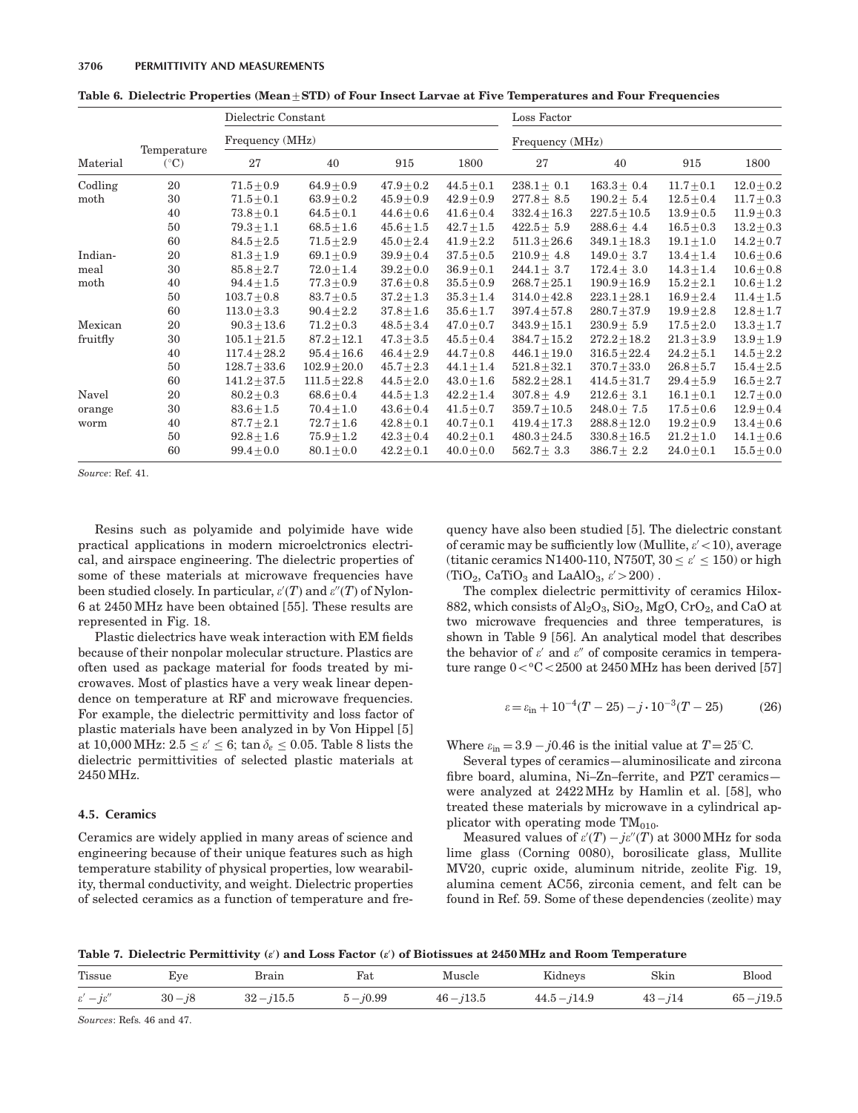|               |                 |                | Loss Factor         |                |                  |                  |                |                |
|---------------|-----------------|----------------|---------------------|----------------|------------------|------------------|----------------|----------------|
|               | Frequency (MHz) |                |                     |                | Frequency (MHz)  |                  |                |                |
| $(^{\circ}C)$ | 27              | 40             | 915                 | 1800           | 27               | 40               | 915            | 1800           |
| 20            | $71.5 + 0.9$    | $64.9 \pm 0.9$ | $47.9 + 0.2$        | $44.5 \pm 0.1$ | $238.1 \pm 0.1$  | $163.3 \pm 0.4$  | $11.7 + 0.1$   | $12.0 \pm 0.2$ |
| 30            | $71.5 + 0.1$    | $63.9 + 0.2$   | $45.9 + 0.9$        | $42.9 + 0.9$   | $277.8 + 8.5$    | $190.2 + 5.4$    | $12.5 + 0.4$   | $11.7 \pm 0.3$ |
| 40            | $73.8 + 0.1$    | $64.5 \pm 0.1$ | $44.6 + 0.6$        | $41.6 + 0.4$   | $332.4 + 16.3$   | $227.5 + 10.5$   | $13.9 + 0.5$   | $11.9 \pm 0.3$ |
| 50            | $79.3 + 1.1$    | $68.5 + 1.6$   | $45.6 + 1.5$        | $42.7 + 1.5$   | $422.5 + 5.9$    | $288.6 + 4.4$    | $16.5 + 0.3$   | $13.2 \pm 0.3$ |
| 60            | $84.5 + 2.5$    | $71.5 + 2.9$   | $45.0 + 2.4$        | $41.9 + 2.2$   | $511.3 + 26.6$   | $349.1 + 18.3$   | $19.1 + 1.0$   | $14.2 \pm 0.7$ |
| 20            | $81.3 + 1.9$    | $69.1 + 0.9$   | $39.9 \pm 0.4$      | $37.5 + 0.5$   | $210.9 + 4.8$    | $149.0 + 3.7$    | $13.4 \pm 1.4$ | $10.6 + 0.6$   |
| 30            | $85.8 + 2.7$    | $72.0 + 1.4$   | $39.2 + 0.0$        | $36.9 + 0.1$   | $244.1 + 3.7$    | $172.4 + 3.0$    | $14.3 + 1.4$   | $10.6 + 0.8$   |
| 40            | $94.4 + 1.5$    | $77.3 + 0.9$   | $37.6 + 0.8$        | $35.5 + 0.9$   | $268.7 + 25.1$   | $190.9 + 16.9$   | $15.2 + 2.1$   | $10.6 + 1.2$   |
| 50            | $103.7 + 0.8$   | $83.7 + 0.5$   | $37.2 + 1.3$        | $35.3 + 1.4$   | $314.0 + 42.8$   | $223.1 + 28.1$   | $16.9 + 2.4$   | $11.4 \pm 1.5$ |
| 60            | $113.0 + 3.3$   | $90.4 \pm 2.2$ | $37.8 + 1.6$        | $35.6 \pm 1.7$ | $397.4 \pm 57.8$ | $280.7 \pm 37.9$ | $19.9 + 2.8$   | $12.8 \pm 1.7$ |
| 20            | $90.3 + 13.6$   | $71.2 + 0.3$   | $48.5 + 3.4$        | $47.0 + 0.7$   | $343.9 + 15.1$   | $230.9 \pm 5.9$  | $17.5 + 2.0$   | $13.3 \pm 1.7$ |
| 30            | $105.1 + 21.5$  | $87.2 + 12.1$  | $47.3 + 3.5$        | $45.5 + 0.4$   | $384.7 + 15.2$   | $272.2 + 18.2$   | $21.3 + 3.9$   | $13.9 + 1.9$   |
| 40            | $117.4 + 28.2$  | $95.4 + 16.6$  | $46.4 + 2.9$        | $44.7 + 0.8$   | $446.1 + 19.0$   | $316.5 + 22.4$   | $24.2 + 5.1$   | $14.5 \pm 2.2$ |
| 50            | $128.7 + 33.6$  | $102.9 + 20.0$ | $45.7 + 2.3$        | $44.1 + 1.4$   | $521.8 + 32.1$   | $370.7 + 33.0$   | $26.8 + 5.7$   | $15.4 + 2.5$   |
| 60            | $141.2 + 37.5$  | $111.5 + 22.8$ | $44.5 + 2.0$        | $43.0 + 1.6$   | $582.2 + 28.1$   | $414.5 + 31.7$   | $29.4 + 5.9$   | $16.5 \pm 2.7$ |
| 20            | $80.2 + 0.3$    | $68.6 + 0.4$   | $44.5 + 1.3$        | $42.2 + 1.4$   | $307.8 + 4.9$    | $212.6 + 3.1$    | $16.1 \pm 0.1$ | $12.7 \pm 0.0$ |
| 30            | $83.6 \pm 1.5$  | $70.4 \pm 1.0$ | $43.6 + 0.4$        | $41.5 \pm 0.7$ | $359.7 \pm 10.5$ | $248.0 \pm 7.5$  | $17.5 + 0.6$   | $12.9 \pm 0.4$ |
| 40            | $87.7 + 2.1$    | $72.7 \pm 1.6$ | $42.8 + 0.1$        | $40.7 + 0.1$   | $419.4 \pm 17.3$ | $288.8 \pm 12.0$ | $19.2 + 0.9$   | $13.4 \pm 0.6$ |
| 50            | $92.8 + 1.6$    | $75.9 + 1.2$   | $42.3 + 0.4$        | $40.2 + 0.1$   | $480.3 + 24.5$   | $330.8 + 16.5$   | $21.2 + 1.0$   | $14.1 \pm 0.6$ |
| 60            | $99.4 + 0.0$    | $80.1 \pm 0.0$ | $42.2 + 0.1$        | $40.0 + 0.0$   | $562.7 \pm 3.3$  | $386.7 \pm 2.2$  | $24.0 + 0.1$   | $15.5 \pm 0.0$ |
|               | Temperature     |                | Dielectric Constant |                |                  |                  |                |                |

Table 6. Dielectric Properties (Mean $\pm$ STD) of Four Insect Larvae at Five Temperatures and Four Frequencies

Source: Ref. 41.

Resins such as polyamide and polyimide have wide practical applications in modern microelctronics electrical, and airspace engineering. The dielectric properties of some of these materials at microwave frequencies have been studied closely. In particular,  $\varepsilon'(T)$  and  $\varepsilon''(T)$  of Nylon-6 at 2450 MHz have been obtained [55]. These results are represented in Fig. 18.

Plastic dielectrics have weak interaction with EM fields because of their nonpolar molecular structure. Plastics are often used as package material for foods treated by microwaves. Most of plastics have a very weak linear dependence on temperature at RF and microwave frequencies. For example, the dielectric permittivity and loss factor of plastic materials have been analyzed in by Von Hippel [5] at 10,000 MHz:  $2.5 < \varepsilon' < 6$ ; tan  $\delta_e < 0.05$ . Table 8 lists the dielectric permittivities of selected plastic materials at 2450 MHz.

## 4.5. Ceramics

Ceramics are widely applied in many areas of science and engineering because of their unique features such as high temperature stability of physical properties, low wearability, thermal conductivity, and weight. Dielectric properties of selected ceramics as a function of temperature and frequency have also been studied [5]. The dielectric constant of ceramic may be sufficiently low (Mullite,  $\varepsilon' < 10$ ), average (titanic ceramics N1400-110, N750T,  $30 \le \varepsilon' \le 150$ ) or high  $(TiO_2, CaTiO_3 \text{ and } LaAlO_3, \varepsilon' > 200)$ .

The complex dielectric permittivity of ceramics Hilox-882, which consists of  $\text{Al}_2\text{O}_3$ ,  $\text{SiO}_2$ ,  $\text{MgO}$ ,  $\text{CrO}_2$ , and CaO at two microwave frequencies and three temperatures, is shown in Table 9 [56]. An analytical model that describes the behavior of  $\varepsilon'$  and  $\varepsilon''$  of composite ceramics in temperature range  $0 < C < 2500$  at 2450 MHz has been derived [57]

$$
\varepsilon = \varepsilon_{\text{in}} + 10^{-4}(T - 25) - j \cdot 10^{-3}(T - 25) \tag{26}
$$

Where  $\varepsilon_{\rm in} = 3.9 - j0.46$  is the initial value at  $T = 25^{\circ}$ C.

Several types of ceramics—aluminosilicate and zircona fibre board, alumina, Ni–Zn–ferrite, and PZT ceramics were analyzed at 2422 MHz by Hamlin et al. [58], who treated these materials by microwave in a cylindrical applicator with operating mode  $TM_{010}$ .

Measured values of  $\varepsilon'(T) - j\varepsilon''(T)$  at 3000 MHz for soda lime glass (Corning 0080), borosilicate glass, Mullite MV20, cupric oxide, aluminum nitride, zeolite Fig. 19, alumina cement AC56, zirconia cement, and felt can be found in Ref. 59. Some of these dependencies (zeolite) may

Table 7. Dielectric Permittivity ( $\varepsilon'$ ) and Loss Factor ( $\varepsilon'$ ) of Biotissues at 2450 MHz and Room Temperature

| Tissue                          | Eye       | Brain        | $_{\rm{Fat}}$ | Muscle       | Kidneys        | Skin       | Blood        |
|---------------------------------|-----------|--------------|---------------|--------------|----------------|------------|--------------|
| $\varepsilon' - i\varepsilon''$ | $30 - j8$ | $32 - i15.5$ | $-i0.99$      | $46 - i13.5$ | $44.5 - j14.9$ | $43 - i14$ | $65 - j19.5$ |

Sources: Refs. 46 and 47.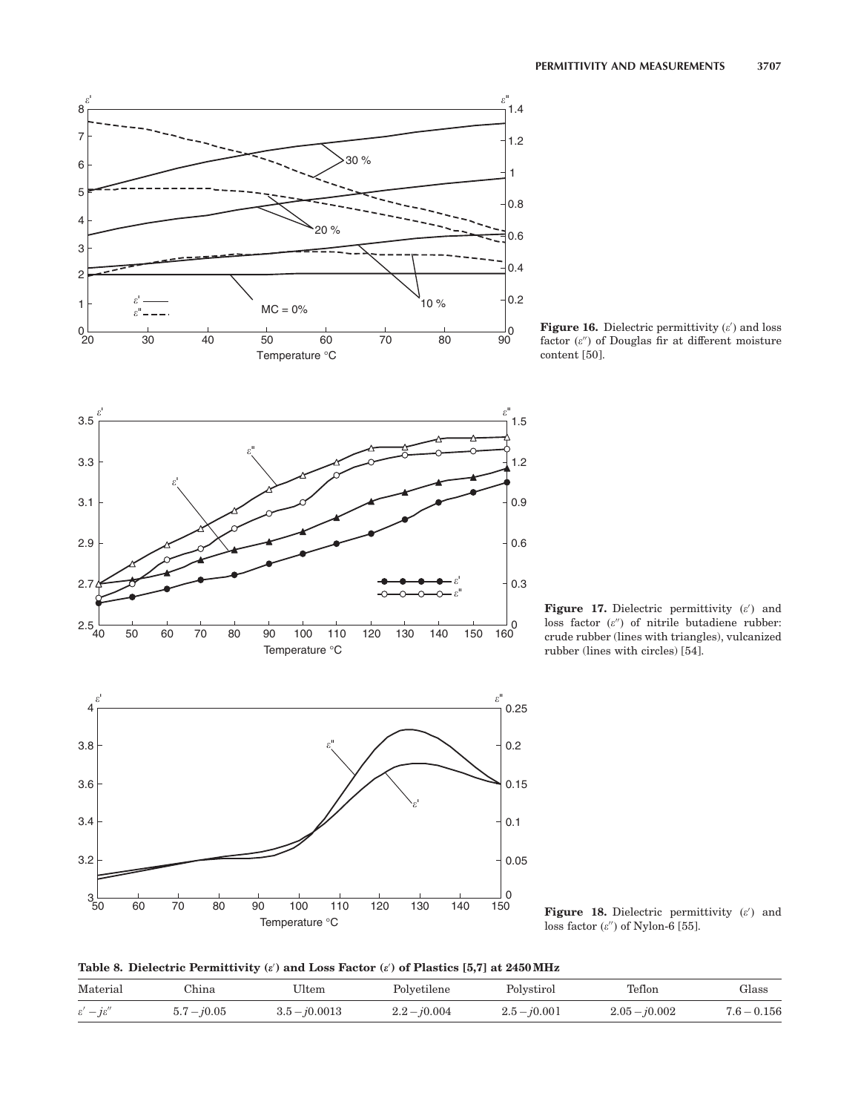







Figure 17. Dielectric permittivity  $(\varepsilon')$  and loss factor  $(\varepsilon'')$  of nitrile butadiene rubber: crude rubber (lines with triangles), vulcanized rubber (lines with circles) [54].

Figure 18. Dielectric permittivity  $(\varepsilon')$  and loss factor  $(\varepsilon'')$  of Nylon-6 [55].

|  |  |  |  |  |  | Table 8. Dielectric Permittivity $(e')$ and Loss Factor $(e')$ of Plastics [5,7] at 2450 MHz |
|--|--|--|--|--|--|----------------------------------------------------------------------------------------------|
|--|--|--|--|--|--|----------------------------------------------------------------------------------------------|

| Material                        | `hina         | Ultem           | Polvetilene    | Polystirol     | Teflon          | Glass         |
|---------------------------------|---------------|-----------------|----------------|----------------|-----------------|---------------|
| $\varepsilon' - i\varepsilon''$ | $5.7 - j0.05$ | $3.5 - i0.0013$ | $2.2 - j0.004$ | $2.5 - j0.001$ | $2.05 - j0.002$ | $7.6 - 0.156$ |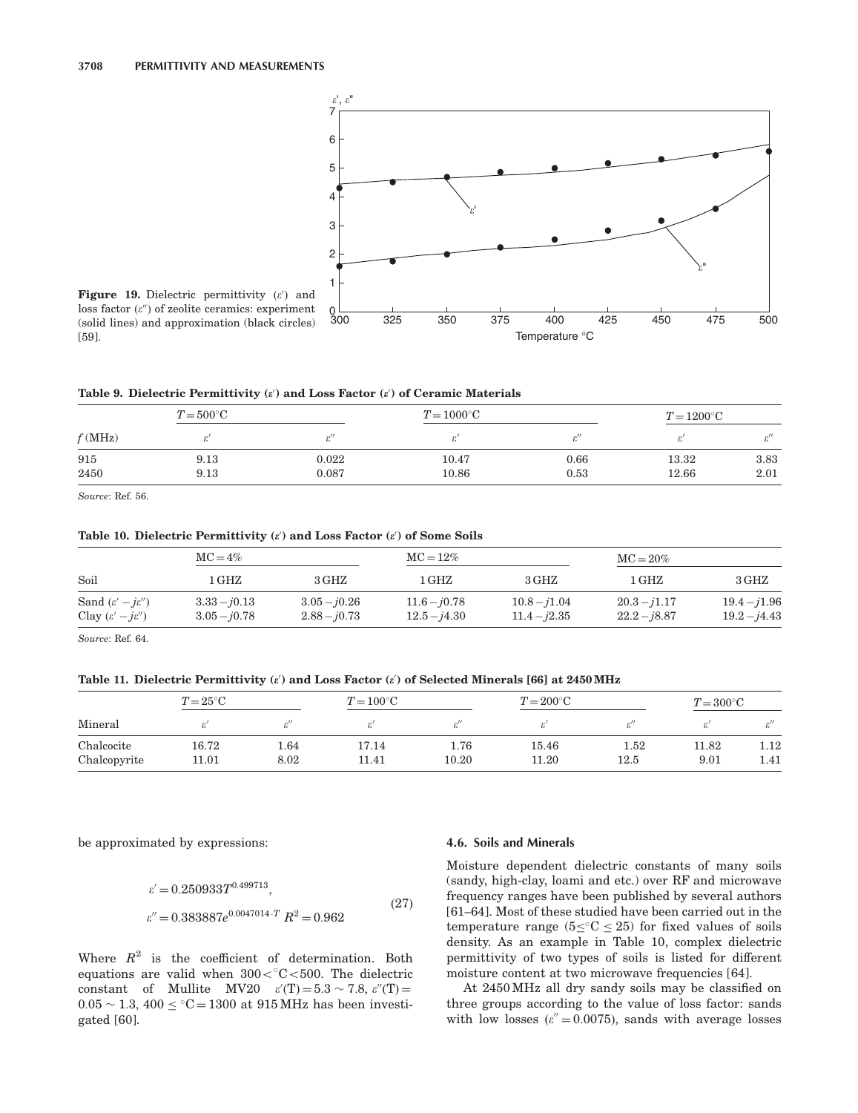

Figure 19. Dielectric permittivity  $(\varepsilon')$  and loss factor  $(\varepsilon'')$  of zeolite ceramics: experiment (solid lines) and approximation (black circles) [59].

Table 9. Dielectric Permittivity  $(\varepsilon')$  and Loss Factor  $(\varepsilon')$  of Ceramic Materials

| f(MHz) | $T = 500$ °C |       | $T = 1000$ °C | $T = 1200$ °C |       |      |
|--------|--------------|-------|---------------|---------------|-------|------|
|        |              |       |               |               |       |      |
| 915    | 9.13         | 0.022 | 10.47         | 0.66          | 13.32 | 3.83 |
| 2450   | 9.13         | 0.087 | 10.86         | 0.53          | 12.66 | 2.01 |

Source: Ref. 56.

## Table 10. Dielectric Permittivity  $(\varepsilon')$  and Loss Factor  $(\varepsilon')$  of Some Soils

| Soil                                   | $MC = 4\%$     |                | $MC = 12\%$    |                | $MC = 20\%$       |                |  |
|----------------------------------------|----------------|----------------|----------------|----------------|-------------------|----------------|--|
|                                        | 1 GHZ          | 3 GHZ          | 1 GHZ          | 3 GHZ          | $1\,\mathrm{GHz}$ | 3 GHZ          |  |
| Sand $(\varepsilon' - j\varepsilon'')$ | $3.33 - j0.13$ | $3.05 - j0.26$ | $11.6 - j0.78$ | $10.8 - j1.04$ | $20.3 - j1.17$    | $19.4 - j1.96$ |  |
| Clay $(\varepsilon' - j\varepsilon'')$ | $3.05 - j0.78$ | $2.88 - j0.73$ | $12.5 - j4.30$ | $11.4 - i2.35$ | $22.2 - i8.87$    | $19.2 - j4.43$ |  |

Source: Ref. 64.

Table 11. Dielectric Permittivity  $(\epsilon')$  and Loss Factor  $(\epsilon')$  of Selected Minerals [66] at 2450 MHz

| Mineral      | $T = 25^{\circ}C$ |          | $T = 100^{\circ}$ C |          | $T = 200$ °C |      | $T = 300$ °C |      |
|--------------|-------------------|----------|---------------------|----------|--------------|------|--------------|------|
|              |                   |          |                     |          |              |      |              |      |
| Chalcocite   | 16.72             | $1.64\,$ | 17.14               | $1.76\,$ | 15.46        | 1.52 | 11.82        | 1.12 |
| Chalcopyrite | 11.01             | 8.02     | 11.41               | 10.20    | 11.20        | 12.5 | 9.01         | 1.41 |

be approximated by expressions:

$$
\varepsilon' = 0.250933T^{0.499713},
$$
  
\n
$$
\varepsilon'' = 0.383887e^{0.0047014 \cdot T} R^2 = 0.962
$$
\n(27)

Where  $R^2$  is the coefficient of determination. Both equations are valid when  $300 < C < 500$ . The dielectric constant of Mullite MV20  $\varepsilon'(T) = 5.3 \sim 7.8$ ,  $\varepsilon''(T) =$  $0.05 \sim 1.3$ ,  $400 \leq C = 1300$  at  $915 \text{ MHz}$  has been investigated [60].

## 4.6. Soils and Minerals

Moisture dependent dielectric constants of many soils (sandy, high-clay, loami and etc.) over RF and microwave frequency ranges have been published by several authors [61–64]. Most of these studied have been carried out in the temperature range ( $5\leq^{\circ}C \leq 25$ ) for fixed values of soils density. As an example in Table 10, complex dielectric permittivity of two types of soils is listed for different moisture content at two microwave frequencies [64].

At 2450 MHz all dry sandy soils may be classified on three groups according to the value of loss factor: sands with low losses  $(\varepsilon'' = 0.0075)$ , sands with average losses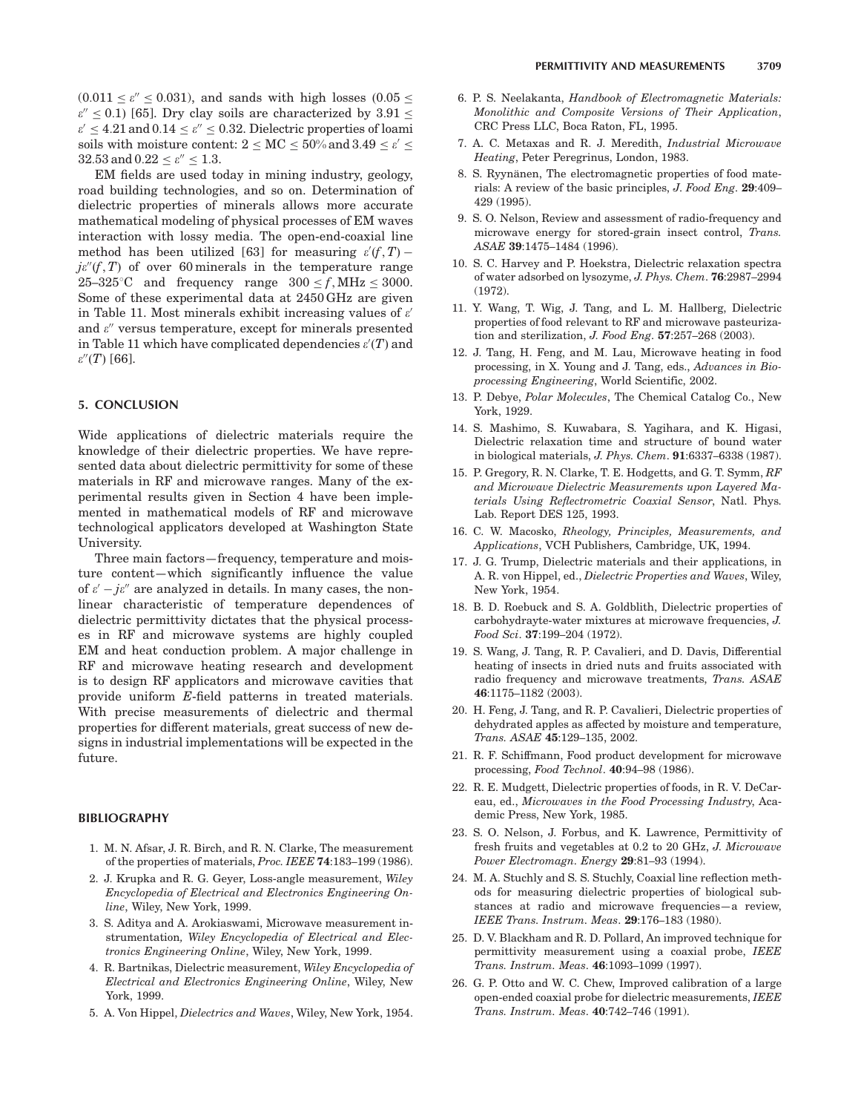$(0.011 < \varepsilon'' < 0.031)$ , and sands with high losses  $(0.05 <$  $\varepsilon''$  < 0.1) [65]. Dry clay soils are characterized by 3.91 <  $\varepsilon' < 4.21$  and  $0.14 < \varepsilon'' < 0.32$ . Dielectric properties of loami soils with moisture content:  $2 < MC < 50\%$  and  $3.49 < \varepsilon' <$  $32.53$  and  $0.22 < \varepsilon'' < 1.3$ .

EM fields are used today in mining industry, geology, road building technologies, and so on. Determination of dielectric properties of minerals allows more accurate mathematical modeling of physical processes of EM waves interaction with lossy media. The open-end-coaxial line method has been utilized [63] for measuring  $\varepsilon'(f,T)$   $j\varepsilon''(f,T)$  of over 60 minerals in the temperature range 25–325°C and frequency range  $300 \le f$ , MHz  $\le 3000$ . Some of these experimental data at 2450 GHz are given in Table 11. Most minerals exhibit increasing values of  $\varepsilon'$ and  $\varepsilon$ <sup>"</sup> versus temperature, except for minerals presented in Table 11 which have complicated dependencies  $\varepsilon'(T)$  and  $\varepsilon''(T)$  [66].

## 5. CONCLUSION

Wide applications of dielectric materials require the knowledge of their dielectric properties. We have represented data about dielectric permittivity for some of these materials in RF and microwave ranges. Many of the experimental results given in Section 4 have been implemented in mathematical models of RF and microwave technological applicators developed at Washington State University.

Three main factors—frequency, temperature and moisture content—which significantly influence the value of  $\varepsilon' - j\varepsilon''$  are analyzed in details. In many cases, the nonlinear characteristic of temperature dependences of dielectric permittivity dictates that the physical processes in RF and microwave systems are highly coupled EM and heat conduction problem. A major challenge in RF and microwave heating research and development is to design RF applicators and microwave cavities that provide uniform E-field patterns in treated materials. With precise measurements of dielectric and thermal properties for different materials, great success of new designs in industrial implementations will be expected in the future.

#### BIBLIOGRAPHY

- 1. M. N. Afsar, J. R. Birch, and R. N. Clarke, The measurement of the properties of materials, Proc. IEEE 74:183–199 (1986).
- 2. J. Krupka and R. G. Geyer, Loss-angle measurement, Wiley Encyclopedia of Electrical and Electronics Engineering Online, Wiley, New York, 1999.
- 3. S. Aditya and A. Arokiaswami, Microwave measurement instrumentation, Wiley Encyclopedia of Electrical and Electronics Engineering Online, Wiley, New York, 1999.
- 4. R. Bartnikas, Dielectric measurement, Wiley Encyclopedia of Electrical and Electronics Engineering Online, Wiley, New York, 1999.
- 5. A. Von Hippel, Dielectrics and Waves, Wiley, New York, 1954.
- 6. P. S. Neelakanta, Handbook of Electromagnetic Materials: Monolithic and Composite Versions of Their Application, CRC Press LLC, Boca Raton, FL, 1995.
- 7. A. C. Metaxas and R. J. Meredith, Industrial Microwave Heating, Peter Peregrinus, London, 1983.
- 8. S. Ryynänen, The electromagnetic properties of food materials: A review of the basic principles, J. Food Eng. 29:409– 429 (1995).
- 9. S. O. Nelson, Review and assessment of radio-frequency and microwave energy for stored-grain insect control, Trans. ASAE 39:1475–1484 (1996).
- 10. S. C. Harvey and P. Hoekstra, Dielectric relaxation spectra of water adsorbed on lysozyme, J. Phys. Chem. 76:2987–2994 (1972).
- 11. Y. Wang, T. Wig, J. Tang, and L. M. Hallberg, Dielectric properties of food relevant to RF and microwave pasteurization and sterilization, J. Food Eng. 57:257–268 (2003).
- 12. J. Tang, H. Feng, and M. Lau, Microwave heating in food processing, in X. Young and J. Tang, eds., Advances in Bioprocessing Engineering, World Scientific, 2002.
- 13. P. Debye, Polar Molecules, The Chemical Catalog Co., New York, 1929.
- 14. S. Mashimo, S. Kuwabara, S. Yagihara, and K. Higasi, Dielectric relaxation time and structure of bound water in biological materials, J. Phys. Chem. 91:6337–6338 (1987).
- 15. P. Gregory, R. N. Clarke, T. E. Hodgetts, and G. T. Symm, RF and Microwave Dielectric Measurements upon Layered Materials Using Reflectrometric Coaxial Sensor, Natl. Phys. Lab. Report DES 125, 1993.
- 16. C. W. Macosko, Rheology, Principles, Measurements, and Applications, VCH Publishers, Cambridge, UK, 1994.
- 17. J. G. Trump, Dielectric materials and their applications, in A. R. von Hippel, ed., Dielectric Properties and Waves, Wiley, New York, 1954.
- 18. B. D. Roebuck and S. A. Goldblith, Dielectric properties of carbohydrayte-water mixtures at microwaye frequencies, J. Food Sci. 37:199–204 (1972).
- 19. S. Wang, J. Tang, R. P. Cavalieri, and D. Davis, Differential heating of insects in dried nuts and fruits associated with radio frequency and microwave treatments, Trans. ASAE 46:1175–1182 (2003).
- 20. H. Feng, J. Tang, and R. P. Cavalieri, Dielectric properties of dehydrated apples as affected by moisture and temperature, Trans. ASAE 45:129–135, 2002.
- 21. R. F. Schiffmann, Food product development for microwave processing, Food Technol. 40:94–98 (1986).
- 22. R. E. Mudgett, Dielectric properties of foods, in R. V. DeCareau, ed., Microwaves in the Food Processing Industry, Academic Press, New York, 1985.
- 23. S. O. Nelson, J. Forbus, and K. Lawrence, Permittivity of fresh fruits and vegetables at 0.2 to 20 GHz, J. Microwave Power Electromagn. Energy 29:81-93 (1994).
- 24. M. A. Stuchly and S. S. Stuchly, Coaxial line reflection methods for measuring dielectric properties of biological substances at radio and microwave frequencies—a review, IEEE Trans. Instrum. Meas. 29:176–183 (1980).
- 25. D. V. Blackham and R. D. Pollard, An improved technique for permittivity measurement using a coaxial probe, IEEE Trans. Instrum. Meas. 46:1093–1099 (1997).
- 26. G. P. Otto and W. C. Chew, Improved calibration of a large open-ended coaxial probe for dielectric measurements, IEEE Trans. Instrum. Meas. 40:742–746 (1991).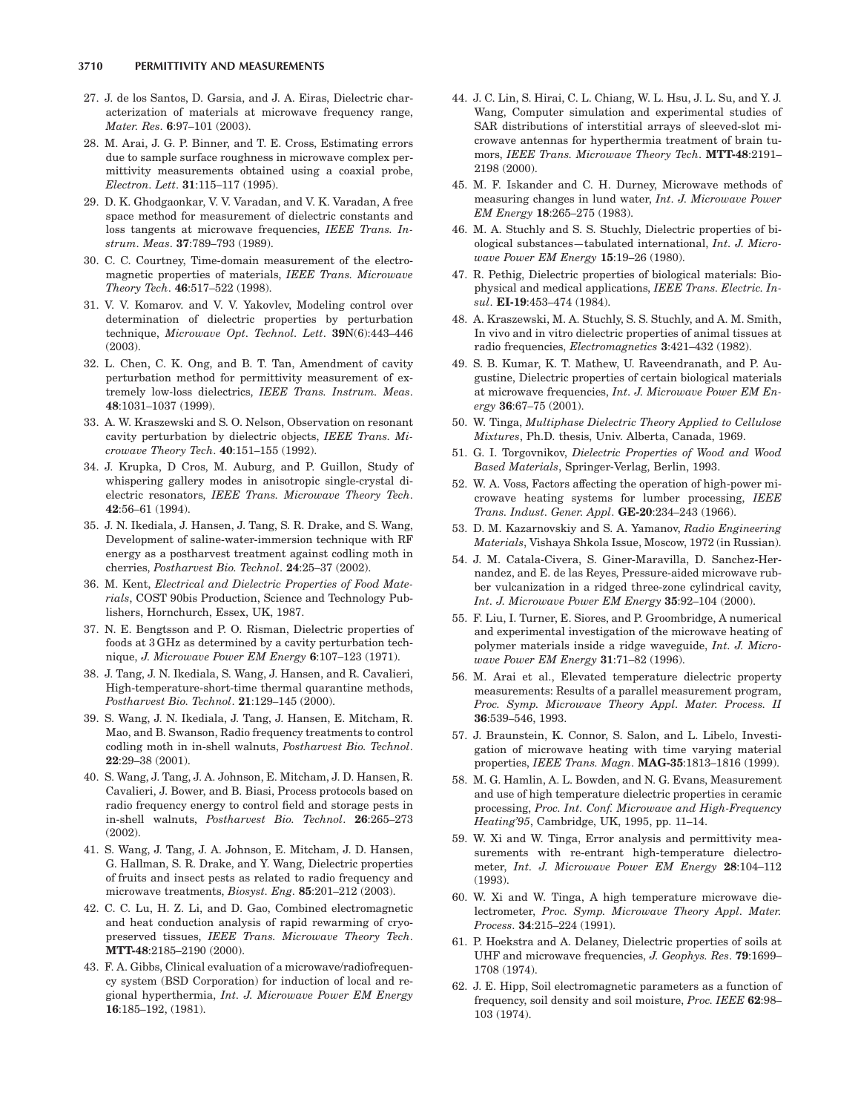#### 3710 PERMITTIVITY AND MEASUREMENTS

- 27. J. de los Santos, D. Garsia, and J. A. Eiras, Dielectric characterization of materials at microwave frequency range, Mater. Res. 6:97–101 (2003).
- 28. M. Arai, J. G. P. Binner, and T. E. Cross, Estimating errors due to sample surface roughness in microwave complex permittivity measurements obtained using a coaxial probe, Electron. Lett. 31:115–117 (1995).
- 29. D. K. Ghodgaonkar, V. V. Varadan, and V. K. Varadan, A free space method for measurement of dielectric constants and loss tangents at microwave frequencies, IEEE Trans. Instrum. Meas. 37:789–793 (1989).
- 30. C. C. Courtney, Time-domain measurement of the electromagnetic properties of materials, IEEE Trans. Microwave Theory Tech. 46:517–522 (1998).
- 31. V. V. Komarov. and V. V. Yakovlev, Modeling control over determination of dielectric properties by perturbation technique, Microwave Opt. Technol. Lett. 39N(6):443–446 (2003).
- 32. L. Chen, C. K. Ong, and B. T. Tan, Amendment of cavity perturbation method for permittivity measurement of extremely low-loss dielectrics, IEEE Trans. Instrum. Meas. 48:1031–1037 (1999).
- 33. A. W. Kraszewski and S. O. Nelson, Observation on resonant cavity perturbation by dielectric objects, IEEE Trans. Microwave Theory Tech. 40:151–155 (1992).
- 34. J. Krupka, D Cros, M. Auburg, and P. Guillon, Study of whispering gallery modes in anisotropic single-crystal dielectric resonators, IEEE Trans. Microwave Theory Tech. 42:56–61 (1994).
- 35. J. N. Ikediala, J. Hansen, J. Tang, S. R. Drake, and S. Wang, Development of saline-water-immersion technique with RF energy as a postharvest treatment against codling moth in cherries, Postharvest Bio. Technol. 24:25–37 (2002).
- 36. M. Kent, Electrical and Dielectric Properties of Food Materials, COST 90bis Production, Science and Technology Publishers, Hornchurch, Essex, UK, 1987.
- 37. N. E. Bengtsson and P. O. Risman, Dielectric properties of foods at 3 GHz as determined by a cavity perturbation technique, J. Microwave Power EM Energy 6:107–123 (1971).
- 38. J. Tang, J. N. Ikediala, S. Wang, J. Hansen, and R. Cavalieri, High-temperature-short-time thermal quarantine methods, Postharvest Bio. Technol. 21:129–145 (2000).
- 39. S. Wang, J. N. Ikediala, J. Tang, J. Hansen, E. Mitcham, R. Mao, and B. Swanson, Radio frequency treatments to control codling moth in in-shell walnuts, Postharvest Bio. Technol. 22:29–38 (2001).
- 40. S. Wang, J. Tang, J. A. Johnson, E. Mitcham, J. D. Hansen, R. Cavalieri, J. Bower, and B. Biasi, Process protocols based on radio frequency energy to control field and storage pests in in-shell walnuts, Postharvest Bio. Technol. 26:265–273 (2002).
- 41. S. Wang, J. Tang, J. A. Johnson, E. Mitcham, J. D. Hansen, G. Hallman, S. R. Drake, and Y. Wang, Dielectric properties of fruits and insect pests as related to radio frequency and microwave treatments, Biosyst. Eng. 85:201–212 (2003).
- 42. C. C. Lu, H. Z. Li, and D. Gao, Combined electromagnetic and heat conduction analysis of rapid rewarming of cryopreserved tissues, IEEE Trans. Microwave Theory Tech. MTT-48:2185–2190 (2000).
- 43. F. A. Gibbs, Clinical evaluation of a microwave/radiofrequency system (BSD Corporation) for induction of local and regional hyperthermia, Int. J. Microwave Power EM Energy 16:185–192, (1981).
- 44. J. C. Lin, S. Hirai, C. L. Chiang, W. L. Hsu, J. L. Su, and Y. J. Wang, Computer simulation and experimental studies of SAR distributions of interstitial arrays of sleeved-slot microwave antennas for hyperthermia treatment of brain tumors, IEEE Trans. Microwave Theory Tech. MTT-48:2191-2198 (2000).
- 45. M. F. Iskander and C. H. Durney, Microwave methods of measuring changes in lund water, Int. J. Microwave Power EM Energy 18:265–275 (1983).
- 46. M. A. Stuchly and S. S. Stuchly, Dielectric properties of biological substances—tabulated international, Int. J. Microwave Power EM Energy 15:19-26 (1980).
- 47. R. Pethig, Dielectric properties of biological materials: Biophysical and medical applications, IEEE Trans. Electric. Insul. EI-19:453–474 (1984).
- 48. A. Kraszewski, M. A. Stuchly, S. S. Stuchly, and A. M. Smith, In vivo and in vitro dielectric properties of animal tissues at radio frequencies, Electromagnetics 3:421–432 (1982).
- 49. S. B. Kumar, K. T. Mathew, U. Raveendranath, and P. Augustine, Dielectric properties of certain biological materials at microwave frequencies, Int. J. Microwave Power EM Energy 36:67–75 (2001).
- 50. W. Tinga, Multiphase Dielectric Theory Applied to Cellulose Mixtures, Ph.D. thesis, Univ. Alberta, Canada, 1969.
- 51. G. I. Torgovnikov, Dielectric Properties of Wood and Wood Based Materials, Springer-Verlag, Berlin, 1993.
- 52. W. A. Voss, Factors affecting the operation of high-power microwave heating systems for lumber processing, IEEE Trans. Indust. Gener. Appl. GE-20:234–243 (1966).
- 53. D. M. Kazarnovskiy and S. A. Yamanov, Radio Engineering Materials, Vishaya Shkola Issue, Moscow, 1972 (in Russian).
- 54. J. M. Catala-Civera, S. Giner-Maravilla, D. Sanchez-Hernandez, and E. de las Reyes, Pressure-aided microwave rubber vulcanization in a ridged three-zone cylindrical cavity, Int. J. Microwave Power EM Energy 35:92–104 (2000).
- 55. F. Liu, I. Turner, E. Siores, and P. Groombridge, A numerical and experimental investigation of the microwave heating of polymer materials inside a ridge waveguide, Int. J. Microwave Power EM Energy 31:71–82 (1996).
- 56. M. Arai et al., Elevated temperature dielectric property measurements: Results of a parallel measurement program, Proc. Symp. Microwave Theory Appl. Mater. Process. II 36:539–546, 1993.
- 57. J. Braunstein, K. Connor, S. Salon, and L. Libelo, Investigation of microwave heating with time varying material properties, IEEE Trans. Magn. MAG-35:1813–1816 (1999).
- 58. M. G. Hamlin, A. L. Bowden, and N. G. Evans, Measurement and use of high temperature dielectric properties in ceramic processing, Proc. Int. Conf. Microwave and High-Frequency Heating'95, Cambridge, UK, 1995, pp. 11–14.
- 59. W. Xi and W. Tinga, Error analysis and permittivity measurements with re-entrant high-temperature dielectrometer, Int. J. Microwave Power EM Energy 28:104–112 (1993).
- 60. W. Xi and W. Tinga, A high temperature microwave dielectrometer, Proc. Symp. Microwave Theory Appl. Mater. Process. 34:215–224 (1991).
- 61. P. Hoekstra and A. Delaney, Dielectric properties of soils at UHF and microwave frequencies, J. Geophys. Res. 79:1699– 1708 (1974).
- 62. J. E. Hipp, Soil electromagnetic parameters as a function of frequency, soil density and soil moisture, Proc. IEEE 62:98– 103 (1974).